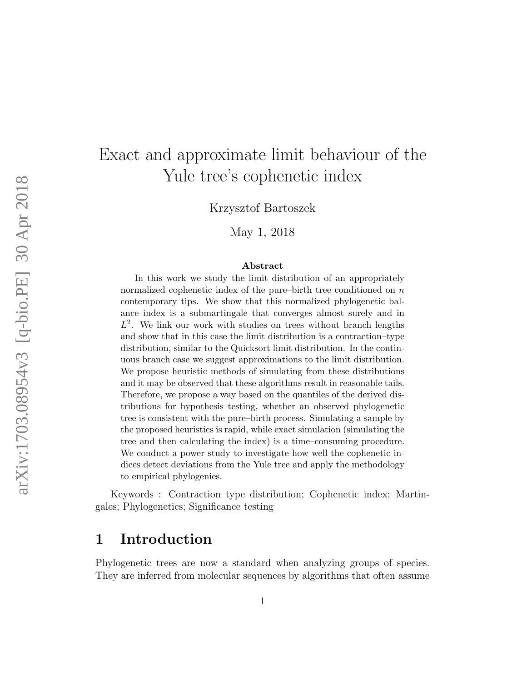# Exact and approximate limit behaviour of the Yule tree's cophenetic index

Krzysztof Bartoszek

May 1, 2018

#### Abstract

In this work we study the limit distribution of an appropriately normalized cophenetic index of the pure–birth tree conditioned on  $n$ contemporary tips. We show that this normalized phylogenetic balance index is a submartingale that converges almost surely and in  $L^2$ . We link our work with studies on trees without branch lengths and show that in this case the limit distribution is a contraction–type distribution, similar to the Quicksort limit distribution. In the continuous branch case we suggest approximations to the limit distribution. We propose heuristic methods of simulating from these distributions and it may be observed that these algorithms result in reasonable tails. Therefore, we propose a way based on the quantiles of the derived distributions for hypothesis testing, whether an observed phylogenetic tree is consistent with the pure–birth process. Simulating a sample by the proposed heuristics is rapid, while exact simulation (simulating the tree and then calculating the index) is a time–consuming procedure. We conduct a power study to investigate how well the cophenetic indices detect deviations from the Yule tree and apply the methodology to empirical phylogenies.

Keywords : Contraction type distribution; Cophenetic index; Martingales; Phylogenetics; Significance testing

## 1 Introduction

Phylogenetic trees are now a standard when analyzing groups of species. They are inferred from molecular sequences by algorithms that often assume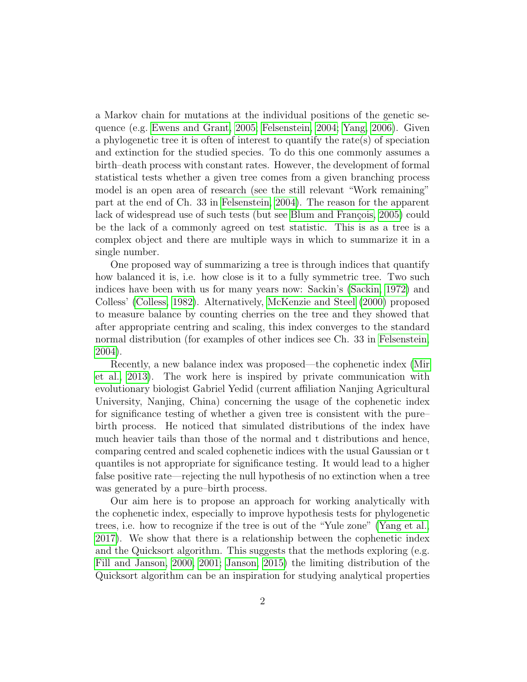a Markov chain for mutations at the individual positions of the genetic sequence (e.g. [Ewens and Grant, 2005;](#page-44-0) [Felsenstein, 2004;](#page-44-1) [Yang, 2006\)](#page-46-0). Given a phylogenetic tree it is often of interest to quantify the rate(s) of speciation and extinction for the studied species. To do this one commonly assumes a birth–death process with constant rates. However, the development of formal statistical tests whether a given tree comes from a given branching process model is an open area of research (see the still relevant "Work remaining" part at the end of Ch. 33 in [Felsenstein, 2004\)](#page-44-1). The reason for the apparent lack of widespread use of such tests (but see Blum and François, 2005) could be the lack of a commonly agreed on test statistic. This is as a tree is a complex object and there are multiple ways in which to summarize it in a single number.

One proposed way of summarizing a tree is through indices that quantify how balanced it is, i.e. how close is it to a fully symmetric tree. Two such indices have been with us for many years now: Sackin's [\(Sackin, 1972\)](#page-45-0) and Colless' [\(Colless, 1982\)](#page-44-2). Alternatively, [McKenzie and Steel](#page-44-3) [\(2000\)](#page-44-3) proposed to measure balance by counting cherries on the tree and they showed that after appropriate centring and scaling, this index converges to the standard normal distribution (for examples of other indices see Ch. 33 in [Felsenstein,](#page-44-1) [2004\)](#page-44-1).

Recently, a new balance index was proposed—the cophenetic index [\(Mir](#page-45-1) [et al., 2013\)](#page-45-1). The work here is inspired by private communication with evolutionary biologist Gabriel Yedid (current affiliation Nanjing Agricultural University, Nanjing, China) concerning the usage of the cophenetic index for significance testing of whether a given tree is consistent with the pure– birth process. He noticed that simulated distributions of the index have much heavier tails than those of the normal and t distributions and hence, comparing centred and scaled cophenetic indices with the usual Gaussian or t quantiles is not appropriate for significance testing. It would lead to a higher false positive rate—rejecting the null hypothesis of no extinction when a tree was generated by a pure–birth process.

Our aim here is to propose an approach for working analytically with the cophenetic index, especially to improve hypothesis tests for phylogenetic trees, i.e. how to recognize if the tree is out of the "Yule zone" [\(Yang et al.,](#page-46-1) [2017\)](#page-46-1). We show that there is a relationship between the cophenetic index and the Quicksort algorithm. This suggests that the methods exploring (e.g. [Fill and Janson, 2000,](#page-44-4) [2001;](#page-44-5) [Janson, 2015\)](#page-44-6) the limiting distribution of the Quicksort algorithm can be an inspiration for studying analytical properties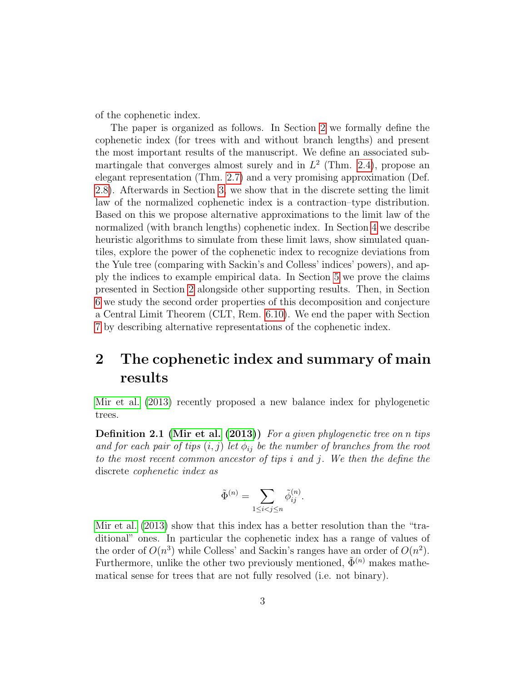of the cophenetic index.

The paper is organized as follows. In Section [2](#page-2-0) we formally define the cophenetic index (for trees with and without branch lengths) and present the most important results of the manuscript. We define an associated submartingale that converges almost surely and in  $L^2$  (Thm. [2.4\)](#page-3-0), propose an elegant representation (Thm. [2.7\)](#page-4-0) and a very promising approximation (Def. [2.8\)](#page-4-1). Afterwards in Section [3,](#page-8-0) we show that in the discrete setting the limit law of the normalized cophenetic index is a contraction–type distribution. Based on this we propose alternative approximations to the limit law of the normalized (with branch lengths) cophenetic index. In Section [4](#page-12-0) we describe heuristic algorithms to simulate from these limit laws, show simulated quantiles, explore the power of the cophenetic index to recognize deviations from the Yule tree (comparing with Sackin's and Colless' indices' powers), and apply the indices to example empirical data. In Section [5](#page-25-0) we prove the claims presented in Section [2](#page-2-0) alongside other supporting results. Then, in Section [6](#page-30-0) we study the second order properties of this decomposition and conjecture a Central Limit Theorem (CLT, Rem. [6.10\)](#page-39-0). We end the paper with Section [7](#page-39-1) by describing alternative representations of the cophenetic index.

## <span id="page-2-0"></span>2 The cophenetic index and summary of main results

[Mir et al.](#page-45-1) [\(2013\)](#page-45-1) recently proposed a new balance index for phylogenetic trees.

Definition 2.1 [\(Mir et al.](#page-45-1) [\(2013\)](#page-45-1)) For a given phylogenetic tree on n tips and for each pair of tips  $(i, j)$  let  $\tilde{\phi}_{ij}$  be the number of branches from the root to the most recent common ancestor of tips i and j. We then the define the discrete cophenetic index as

$$
\tilde{\Phi}^{(n)} = \sum_{1 \le i < j \le n} \tilde{\phi}_{ij}^{(n)}.
$$

[Mir et al.](#page-45-1) [\(2013\)](#page-45-1) show that this index has a better resolution than the "traditional" ones. In particular the cophenetic index has a range of values of the order of  $O(n^3)$  while Colless' and Sackin's ranges have an order of  $O(n^2)$ . Furthermore, unlike the other two previously mentioned,  $\Phi^{(n)}$  makes mathematical sense for trees that are not fully resolved (i.e. not binary).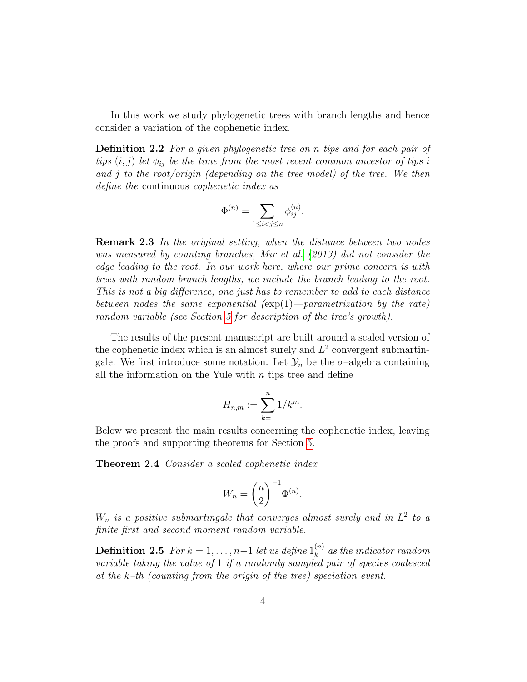In this work we study phylogenetic trees with branch lengths and hence consider a variation of the cophenetic index.

Definition 2.2 For a given phylogenetic tree on n tips and for each pair of tips  $(i, j)$  let  $\phi_{ij}$  be the time from the most recent common ancestor of tips i and j to the root/origin (depending on the tree model) of the tree. We then define the continuous cophenetic index as

$$
\Phi^{(n)} = \sum_{1 \le i < j \le n} \phi_{ij}^{(n)}.
$$

Remark 2.3 In the original setting, when the distance between two nodes was measured by counting branches, [Mir et al.](#page-45-1) [\(2013\)](#page-45-1) did not consider the edge leading to the root. In our work here, where our prime concern is with trees with random branch lengths, we include the branch leading to the root. This is not a big difference, one just has to remember to add to each distance between nodes the same exponential  $(\exp(1) - parametrization$  by the rate) random variable (see Section [5](#page-25-0) for description of the tree's growth).

The results of the present manuscript are built around a scaled version of the cophenetic index which is an almost surely and  $L^2$  convergent submartingale. We first introduce some notation. Let  $\mathcal{Y}_n$  be the  $\sigma$ -algebra containing all the information on the Yule with  $n$  tips tree and define

$$
H_{n,m}:=\sum_{k=1}^n 1/k^m.
$$

Below we present the main results concerning the cophenetic index, leaving the proofs and supporting theorems for Section [5.](#page-25-0)

<span id="page-3-0"></span>**Theorem 2.4** Consider a scaled cophenetic index

$$
W_n = \binom{n}{2}^{-1} \Phi^{(n)}.
$$

 $W_n$  is a positive submartingale that converges almost surely and in  $L^2$  to a finite first and second moment random variable.

**Definition 2.5** For  $k = 1, ..., n-1$  let us define  $1_k^{(n)}$  $\binom{n}{k}$  as the indicator random variable taking the value of 1 if a randomly sampled pair of species coalesced at the  $k$ -th (counting from the origin of the tree) speciation event.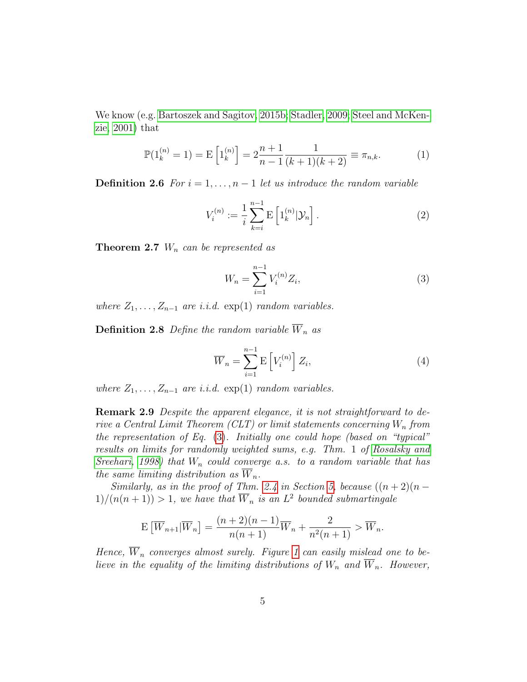We know (e.g. [Bartoszek and Sagitov, 2015b;](#page-43-1) [Stadler, 2009;](#page-45-2) [Steel and McKen](#page-46-2)[zie, 2001\)](#page-46-2) that

$$
\mathbb{P}(1_k^{(n)} = 1) = \mathbb{E}\left[1_k^{(n)}\right] = 2\frac{n+1}{n-1}\frac{1}{(k+1)(k+2)} \equiv \pi_{n,k}.
$$
 (1)

**Definition 2.6** For  $i = 1, ..., n-1$  let us introduce the random variable

$$
V_i^{(n)} := \frac{1}{i} \sum_{k=i}^{n-1} \mathbb{E} \left[ 1_k^{(n)} |\mathcal{Y}_n \right].
$$
 (2)

<span id="page-4-2"></span><span id="page-4-0"></span>**Theorem 2.7**  $W_n$  can be represented as

$$
W_n = \sum_{i=1}^{n-1} V_i^{(n)} Z_i,
$$
\n(3)

where  $Z_1, \ldots, Z_{n-1}$  are i.i.d.  $\exp(1)$  random variables.

<span id="page-4-3"></span><span id="page-4-1"></span>**Definition 2.8** Define the random variable  $\overline{W}_n$  as

$$
\overline{W}_n = \sum_{i=1}^{n-1} \mathcal{E}\left[V_i^{(n)}\right] Z_i,\tag{4}
$$

where  $Z_1, \ldots, Z_{n-1}$  are i.i.d. exp(1) random variables.

<span id="page-4-4"></span>Remark 2.9 Despite the apparent elegance, it is not straightforward to derive a Central Limit Theorem (CLT) or limit statements concerning  $W_n$  from the representation of Eq. [\(3\)](#page-4-2). Initially one could hope (based on "typical" results on limits for randomly weighted sums, e.g. Thm. 1 of [Rosalsky and](#page-45-3) [Sreehari, 1998\)](#page-45-3) that  $W_n$  could converge a.s. to a random variable that has the same limiting distribution as  $\overline{W}_n$ .

Similarly, as in the proof of Thm. [2.4](#page-3-0) in Section [5,](#page-25-0) because  $((n+2)(n 1)/(n(n+1)) > 1$ , we have that  $\overline{W}_n$  is an  $L^2$  bounded submartingale

$$
\mathbb{E}\left[\overline{W}_{n+1}|\overline{W}_{n}\right] = \frac{(n+2)(n-1)}{n(n+1)}\overline{W}_{n} + \frac{2}{n^{2}(n+1)} > \overline{W}_{n}.
$$

Hence,  $\overline{W}_n$  converges almost surely. Figure [1](#page-5-0) can easily mislead one to believe in the equality of the limiting distributions of  $W_n$  and  $\overline{W}_n$ . However,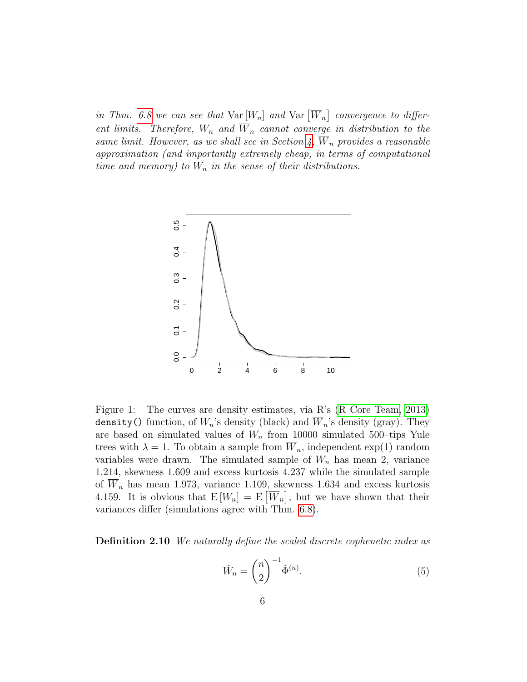in Thm. [6.8](#page-36-0) we can see that  $Var[W_n]$  and  $Var[\overline{W}_n]$  convergence to different limits. Therefore,  $W_n$  and  $\overline{W}_n$  cannot converge in distribution to the same limit. However, as we shall see in Section [4,](#page-12-0)  $\overline{W}_n$  provides a reasonable approximation (and importantly extremely cheap, in terms of computational time and memory) to  $W_n$  in the sense of their distributions.



<span id="page-5-0"></span>Figure 1: The curves are density estimates, via R's [\(R Core Team, 2013\)](#page-45-4) density() function, of  $W_n$ 's density (black) and  $\overline{W}_n$ 's density (gray). They are based on simulated values of  $W_n$  from 10000 simulated 500-tips Yule trees with  $\lambda = 1$ . To obtain a sample from  $W_n$ , independent  $\exp(1)$  random variables were drawn. The simulated sample of  $W_n$  has mean 2, variance 1.214, skewness 1.609 and excess kurtosis 4.237 while the simulated sample of  $\overline{W}_n$  has mean 1.973, variance 1.109, skewness 1.634 and excess kurtosis 4.159. It is obvious that  $E[W_n] = E[W_n]$ , but we have shown that their variances differ (simulations agree with Thm. [6.8\)](#page-36-0).

<span id="page-5-1"></span>Definition 2.10 We naturally define the scaled discrete cophenetic index as

$$
\tilde{W}_n = \binom{n}{2}^{-1} \tilde{\Phi}^{(n)}.
$$
\n(5)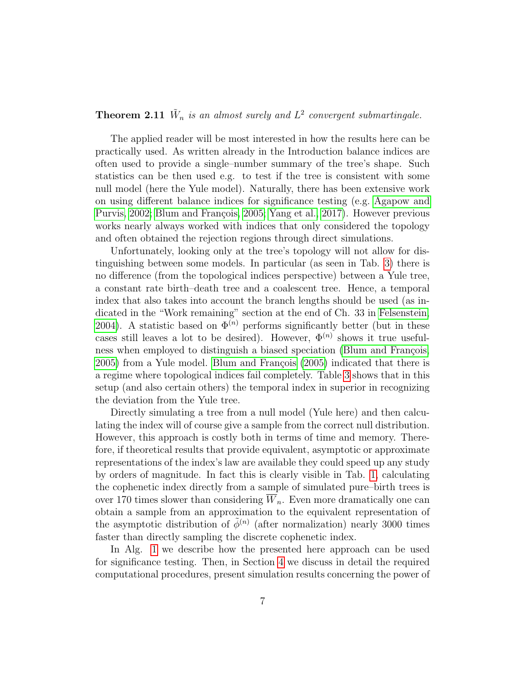### **Theorem 2.11**  $\tilde{W}_n$  is an almost surely and  $L^2$  convergent submartingale.

The applied reader will be most interested in how the results here can be practically used. As written already in the Introduction balance indices are often used to provide a single–number summary of the tree's shape. Such statistics can be then used e.g. to test if the tree is consistent with some null model (here the Yule model). Naturally, there has been extensive work on using different balance indices for significance testing (e.g. [Agapow and](#page-43-2) [Purvis, 2002;](#page-43-2) Blum and François, 2005; [Yang et al., 2017\)](#page-46-1). However previous works nearly always worked with indices that only considered the topology and often obtained the rejection regions through direct simulations.

Unfortunately, looking only at the tree's topology will not allow for distinguishing between some models. In particular (as seen in Tab. [3\)](#page-21-0) there is no difference (from the topological indices perspective) between a Yule tree, a constant rate birth–death tree and a coalescent tree. Hence, a temporal index that also takes into account the branch lengths should be used (as indicated in the "Work remaining" section at the end of Ch. 33 in [Felsenstein,](#page-44-1) [2004\)](#page-44-1). A statistic based on  $\Phi^{(n)}$  performs significantly better (but in these cases still leaves a lot to be desired). However,  $\Phi^{(n)}$  shows it true usefulness when employed to distinguish a biased speciation (Blum and François, [2005\)](#page-43-0) from a Yule model. Blum and François [\(2005\)](#page-43-0) indicated that there is a regime where topological indices fail completely. Table [3](#page-21-0) shows that in this setup (and also certain others) the temporal index in superior in recognizing the deviation from the Yule tree.

Directly simulating a tree from a null model (Yule here) and then calculating the index will of course give a sample from the correct null distribution. However, this approach is costly both in terms of time and memory. Therefore, if theoretical results that provide equivalent, asymptotic or approximate representations of the index's law are available they could speed up any study by orders of magnitude. In fact this is clearly visible in Tab. [1,](#page-17-0) calculating the cophenetic index directly from a sample of simulated pure–birth trees is over 170 times slower than considering  $\overline{W}_n$ . Even more dramatically one can obtain a sample from an approximation to the equivalent representation of the asymptotic distribution of  $\tilde{\phi}^{(n)}$  (after normalization) nearly 3000 times faster than directly sampling the discrete cophenetic index.

In Alg. [1](#page-7-0) we describe how the presented here approach can be used for significance testing. Then, in Section [4](#page-12-0) we discuss in detail the required computational procedures, present simulation results concerning the power of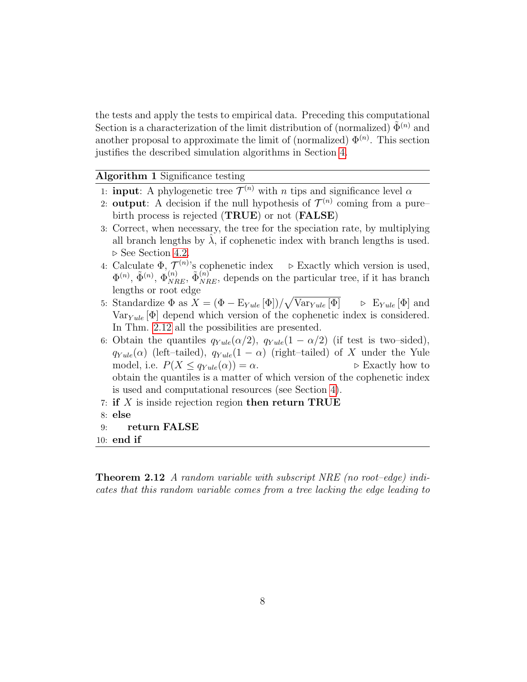the tests and apply the tests to empirical data. Preceding this computational Section is a characterization of the limit distribution of (normalized)  $\tilde{\Phi}^{(n)}$  and another proposal to approximate the limit of (normalized)  $\Phi^{(n)}$ . This section justifies the described simulation algorithms in Section [4.](#page-12-0)

### <span id="page-7-0"></span>Algorithm 1 Significance testing

- 1: **input**: A phylogenetic tree  $\mathcal{T}^{(n)}$  with *n* tips and significance level  $\alpha$
- 2: **output**: A decision if the null hypothesis of  $\mathcal{T}^{(n)}$  coming from a pure– birth process is rejected (TRUE) or not (FALSE)
- 3: Correct, when necessary, the tree for the speciation rate, by multiplying all branch lengths by  $\lambda$ , if cophenetic index with branch lengths is used.  $\triangleright$  See Section [4.2.](#page-16-0)
- 4: Calculate  $\Phi$ ,  $\mathcal{T}^{(n)}$ 's cophenetic index  $\Rightarrow$  Exactly which version is used,  $\Phi^{(n)}$ ,  $\tilde{\Phi}_{NRE}^{(n)}$ ,  $\tilde{\Phi}_{NRE}^{(n)}$ , depends on the particular tree, if it has branch lengths or root edge
- 5: Standardize  $\Phi$  as  $X = (\Phi E_{Yule}[\Phi])/\sqrt{\frac{(\Phi E_{Yule}[\Phi])}{\Phi}}$  $\triangleright$  E<sub>Yule</sub> [Φ] and  $Var_{Yule}[\Phi]$  depend which version of the cophenetic index is considered. In Thm. [2.12](#page-7-1) all the possibilities are presented.
- 6: Obtain the quantiles  $q_{Y \leq u}(\alpha/2)$ ,  $q_{Y \leq u}(\alpha/2)$  (if test is two–sided),  $q_{Yule}(\alpha)$  (left–tailed),  $q_{Yule}(1-\alpha)$  (right–tailed) of X under the Yule model, i.e.  $P(X \leq q_{Y \leq ule}(\alpha)) = \alpha$ .  $\triangleright$  Exactly how to obtain the quantiles is a matter of which version of the cophenetic index is used and computational resources (see Section [4\)](#page-12-0).
- 7: if X is inside rejection region then return TRUE
- 8: else
- 9: return FALSE
- 10: end if

<span id="page-7-1"></span>Theorem 2.12 A random variable with subscript NRE (no root–edge) indicates that this random variable comes from a tree lacking the edge leading to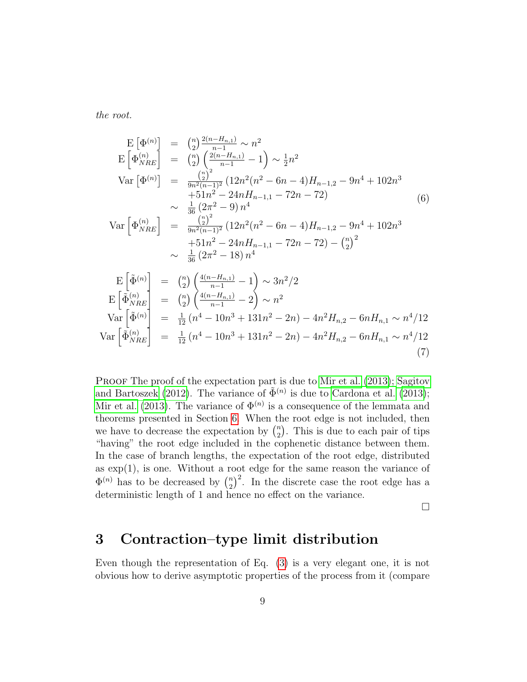<span id="page-8-1"></span>the root.

$$
E\left[\Phi^{(n)}\right] = {n \choose 2} \frac{2(n-H_{n,1})}{n-1} \sim n^2
$$
  
\n
$$
E\left[\Phi_{NRE}^{(n)}\right] = {n \choose 2} \frac{(2(n-H_{n,1})}{n-1} - 1) \sim \frac{1}{2}n^2
$$
  
\n
$$
Var\left[\Phi^{(n)}\right] = \frac{{n \choose 2}^2}{\frac{n^2(n-1)^2}{n-1} (12n^2(n^2 - 6n - 4)H_{n-1,2} - 9n^4 + 102n^3 + 51n^2 - 24nH_{n-1,1} - 72n - 72)} \sim \frac{1}{36} (2\pi^2 - 9) n^4
$$
  
\n
$$
Var\left[\Phi_{NRE}^{(n)}\right] = \frac{{n \choose 2}^2}{\frac{n^2(n-1)^2}{n^2 (12n^2(n^2 - 6n - 4)H_{n-1,2} - 9n^4 + 102n^3 + 51n^2 - 24nH_{n-1,1} - 72n - 72) - {n \choose 2}^2}
$$
  
\n
$$
\sim \frac{1}{36} (2\pi^2 - 18) n^4
$$
  
\n
$$
E\left[\tilde{\Phi}^{(n)}\right] = {n \choose 2} \left(\frac{4(n-H_{n,1})}{n-1} - 1\right) \sim 3n^2/2
$$
  
\n
$$
E\left[\tilde{\Phi}_{NRE}^{(n)}\right] = {n \choose 2} \left(\frac{4(n-H_{n,1})}{n-1} - 2\right) \sim n^2
$$
  
\n
$$
Var\left[\tilde{\Phi}_{NRE}^{(n)}\right] = \frac{1}{12} (n^4 - 10n^3 + 131n^2 - 2n) - 4n^2H_{n,2} - 6nH_{n,1} \sim n^4/12
$$
  
\n
$$
Var\left[\tilde{\Phi}_{NRE}^{(n)}\right] = \frac{1}{12} (n^4 - 10n^3 + 131n^2 - 2n) - 4n^2H_{n,2} - 6nH_{n,1} \sim n^4/12
$$
  
\n(7)

<span id="page-8-2"></span>PROOF The proof of the expectation part is due to [Mir et al.](#page-45-1) [\(2013\)](#page-45-1); [Sagitov](#page-45-5) [and Bartoszek](#page-45-5) [\(2012\)](#page-45-5). The variance of  $\tilde{\Phi}^{(n)}$  is due to [Cardona et al.](#page-44-7) [\(2013\)](#page-44-7); [Mir et al.](#page-45-1) [\(2013\)](#page-45-1). The variance of  $\Phi^{(n)}$  is a consequence of the lemmata and theorems presented in Section [6.](#page-30-0) When the root edge is not included, then we have to decrease the expectation by  $\binom{n}{2}$  $n_2$ ). This is due to each pair of tips "having" the root edge included in the cophenetic distance between them. In the case of branch lengths, the expectation of the root edge, distributed as exp(1), is one. Without a root edge for the same reason the variance of  $\Phi^{(n)}$  has to be decreased by  $\binom{n}{2}$  $\binom{n}{2}^2$ . In the discrete case the root edge has a deterministic length of 1 and hence no effect on the variance.

 $\Box$ 

## <span id="page-8-0"></span>3 Contraction–type limit distribution

Even though the representation of Eq. [\(3\)](#page-4-2) is a very elegant one, it is not obvious how to derive asymptotic properties of the process from it (compare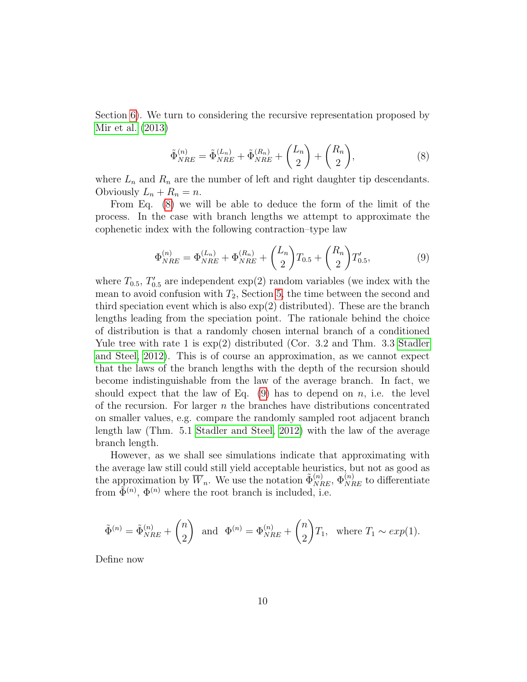<span id="page-9-0"></span>Section [6\)](#page-30-0). We turn to considering the recursive representation proposed by [Mir et al.](#page-45-1) [\(2013\)](#page-45-1)

$$
\tilde{\Phi}_{NRE}^{(n)} = \tilde{\Phi}_{NRE}^{(L_n)} + \tilde{\Phi}_{NRE}^{(R_n)} + {L_n \choose 2} + {R_n \choose 2},\tag{8}
$$

where  $L_n$  and  $R_n$  are the number of left and right daughter tip descendants. Obviously  $L_n + R_n = n$ .

<span id="page-9-1"></span>From Eq. [\(8\)](#page-9-0) we will be able to deduce the form of the limit of the process. In the case with branch lengths we attempt to approximate the cophenetic index with the following contraction–type law

$$
\Phi_{NRE}^{(n)} = \Phi_{NRE}^{(L_n)} + \Phi_{NRE}^{(R_n)} + {L_n \choose 2} T_{0.5} + {R_n \choose 2} T'_{0.5},
$$
\n(9)

where  $T_{0.5}$ ,  $T'_{0.5}$  are independent  $\exp(2)$  random variables (we index with the mean to avoid confusion with  $T_2$ , Section [5,](#page-25-0) the time between the second and third speciation event which is also  $\exp(2)$  distributed). These are the branch lengths leading from the speciation point. The rationale behind the choice of distribution is that a randomly chosen internal branch of a conditioned Yule tree with rate 1 is  $\exp(2)$  distributed (Cor. 3.2 and Thm. 3.3 [Stadler](#page-46-3) [and Steel, 2012\)](#page-46-3). This is of course an approximation, as we cannot expect that the laws of the branch lengths with the depth of the recursion should become indistinguishable from the law of the average branch. In fact, we should expect that the law of Eq.  $(9)$  has to depend on n, i.e. the level of the recursion. For larger  $n$  the branches have distributions concentrated on smaller values, e.g. compare the randomly sampled root adjacent branch length law (Thm. 5.1 [Stadler and Steel, 2012\)](#page-46-3) with the law of the average branch length.

However, as we shall see simulations indicate that approximating with the average law still could still yield acceptable heuristics, but not as good as the approximation by  $\overline{W}_n$ . We use the notation  $\tilde{\Phi}_{NRE}^{(n)}$ ,  $\Phi_{NRE}^{(n)}$  to differentiate from  $\tilde{\Phi}^{(n)}$ ,  $\Phi^{(n)}$  where the root branch is included, i.e.

$$
\tilde{\Phi}^{(n)} = \tilde{\Phi}_{NRE}^{(n)} + {n \choose 2} \text{ and } \Phi^{(n)} = \Phi_{NRE}^{(n)} + {n \choose 2} T_1, \text{ where } T_1 \sim exp(1).
$$

Define now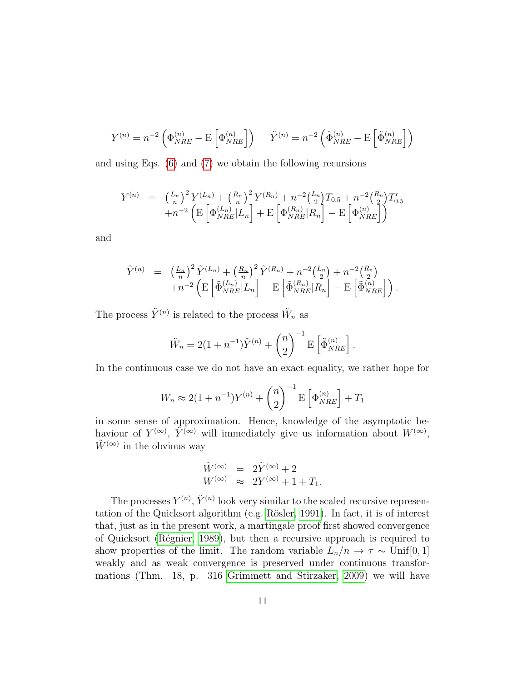$$
Y^{(n)} = n^{-2} \left( \Phi_{NRE}^{(n)} - \mathbf{E} \left[ \Phi_{NRE}^{(n)} \right] \right) \quad \tilde{Y}^{(n)} = n^{-2} \left( \tilde{\Phi}_{NRE}^{(n)} - \mathbf{E} \left[ \tilde{\Phi}_{NRE}^{(n)} \right] \right)
$$

and using Eqs. [\(6\)](#page-8-1) and [\(7\)](#page-8-2) we obtain the following recursions

$$
Y^{(n)} = \left(\frac{L_n}{n}\right)^2 Y^{(L_n)} + \left(\frac{R_n}{n}\right)^2 Y^{(R_n)} + n^{-2} {L_n \choose 2} T_{0.5} + n^{-2} {R_n \choose 2} T'_{0.5}
$$
  
+
$$
n^{-2} \left( \mathbb{E} \left[ \Phi_{NRE}^{(L_n)} | L_n \right] + \mathbb{E} \left[ \Phi_{NRE}^{(R_n)} | R_n \right] - \mathbb{E} \left[ \Phi_{NRE}^{(n)} \right] \right)
$$

and

$$
\tilde{Y}^{(n)} = \left(\frac{L_n}{n}\right)^2 \tilde{Y}^{(L_n)} + \left(\frac{R_n}{n}\right)^2 \tilde{Y}^{(R_n)} + n^{-2} \left(\frac{L_n}{2}\right) + n^{-2} \left(\frac{R_n}{2}\right) + n^{-2} \left(\mathbb{E}\left[\tilde{\Phi}_{NRE}^{(L_n)}|L_n\right] + \mathbb{E}\left[\tilde{\Phi}_{NRE}^{(R_n)}|R_n\right] - \mathbb{E}\left[\tilde{\Phi}_{NRE}^{(n)}\right]\right).
$$

The process  $\tilde{Y}^{(n)}$  is related to the process  $\tilde{W}_n$  as

$$
\tilde{W}_n = 2(1+n^{-1})\tilde{Y}^{(n)} + {n \choose 2}^{-1} \mathbf{E} \left[ \tilde{\Phi}_{NRE}^{(n)} \right].
$$

In the continuous case we do not have an exact equality, we rather hope for

$$
W_n \approx 2(1 + n^{-1})Y^{(n)} + {n \choose 2}^{-1} \mathbf{E} \left[ \Phi_{NRE}^{(n)} \right] + T_1
$$

in some sense of approximation. Hence, knowledge of the asymptotic behaviour of  $Y^{(\infty)}$ ,  $\tilde{Y}^{(\infty)}$  will immediately give us information about  $W^{(\infty)}$ ,  $\tilde{W}^{(\infty)}$  in the obvious way

$$
\begin{array}{rcl}\n\tilde{W}^{(\infty)} & = & 2\tilde{Y}^{(\infty)} + 2 \\
W^{(\infty)} & \approx & 2Y^{(\infty)} + 1 + T_1.\n\end{array}
$$

The processes  $Y^{(n)}$ ,  $\tilde{Y}^{(n)}$  look very similar to the scaled recursive representation of the Quicksort algorithm (e.g. Rösler, 1991). In fact, it is of interest that, just as in the present work, a martingale proof first showed convergence of Quicksort (Régnier, 1989), but then a recursive approach is required to show properties of the limit. The random variable  $L_n/n \to \tau \sim \text{Unif}[0,1]$ weakly and as weak convergence is preserved under continuous transformations (Thm. 18, p. 316 [Grimmett and Stirzaker, 2009\)](#page-44-8) we will have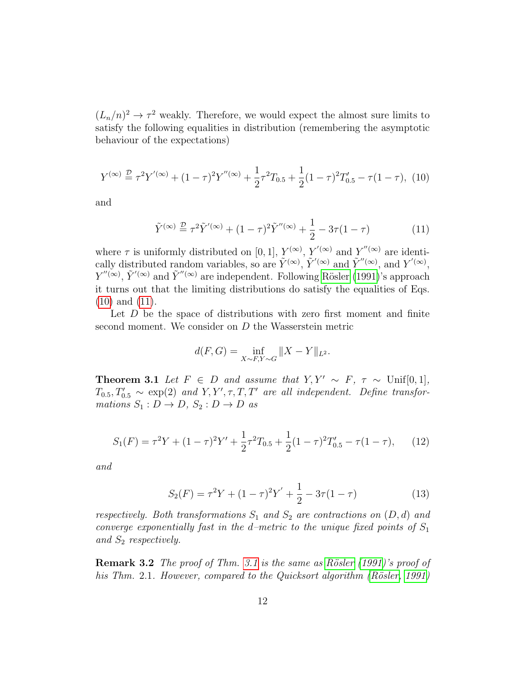$(L_n/n)^2 \to \tau^2$  weakly. Therefore, we would expect the almost sure limits to satisfy the following equalities in distribution (remembering the asymptotic behaviour of the expectations)

<span id="page-11-0"></span>
$$
Y^{(\infty)} \stackrel{\mathcal{D}}{=} \tau^2 Y^{(\infty)} + (1 - \tau)^2 Y^{(\infty)} + \frac{1}{2} \tau^2 T_{0.5} + \frac{1}{2} (1 - \tau)^2 T'_{0.5} - \tau (1 - \tau), \tag{10}
$$

<span id="page-11-1"></span>and

$$
\tilde{Y}^{(\infty)} \stackrel{\mathcal{D}}{=} \tau^2 \tilde{Y}'^{(\infty)} + (1 - \tau)^2 \tilde{Y}''^{(\infty)} + \frac{1}{2} - 3\tau (1 - \tau)
$$
\n(11)

where  $\tau$  is uniformly distributed on [0, 1],  $Y^{(\infty)}$ ,  $Y'^{(\infty)}$  and  $Y''^{(\infty)}$  are identically distributed random variables, so are  $\tilde{Y}^{(\infty)}$ ,  $\tilde{Y}^{(\infty)}$  and  $\tilde{Y}^{''(\infty)}$ , and  $Y^{(\infty)}$ ,  $Y''^{(\infty)}$ ,  $\tilde{Y}'^{(\infty)}$  and  $\tilde{Y}''^{(\infty)}$  are independent. Following Rösler [\(1991\)](#page-45-6)'s approach it turns out that the limiting distributions do satisfy the equalities of Eqs. [\(10\)](#page-11-0) and [\(11\)](#page-11-1).

Let  $D$  be the space of distributions with zero first moment and finite second moment. We consider on D the Wasserstein metric

$$
d(F, G) = \inf_{X \sim F, Y \sim G} \|X - Y\|_{L^2}.
$$

<span id="page-11-2"></span>**Theorem 3.1** Let  $F \in D$  and assume that  $Y, Y' \sim F, \tau \sim \text{Unif}[0, 1],$  $T_{0.5}, T'_{0.5} \sim \exp(2)$  and  $Y, Y', \tau, T, T'$  are all independent. Define transformations  $S_1 : D \to D$ ,  $S_2 : D \to D$  as

$$
S_1(F) = \tau^2 Y + (1 - \tau)^2 Y' + \frac{1}{2} \tau^2 T_{0.5} + \frac{1}{2} (1 - \tau)^2 T'_{0.5} - \tau (1 - \tau), \qquad (12)
$$

and

$$
S_2(F) = \tau^2 Y + (1 - \tau)^2 Y' + \frac{1}{2} - 3\tau (1 - \tau)
$$
\n(13)

respectively. Both transformations  $S_1$  and  $S_2$  are contractions on  $(D, d)$  and converge exponentially fast in the d–metric to the unique fixed points of  $S_1$ and  $S_2$  respectively.

**Remark 3.2** The proof of Thm. [3.1](#page-11-2) is the same as Rösler  $(1991)$ 's proof of his Thm. 2.1. However, compared to the Quicksort algorithm  $(Rösler, 1991)$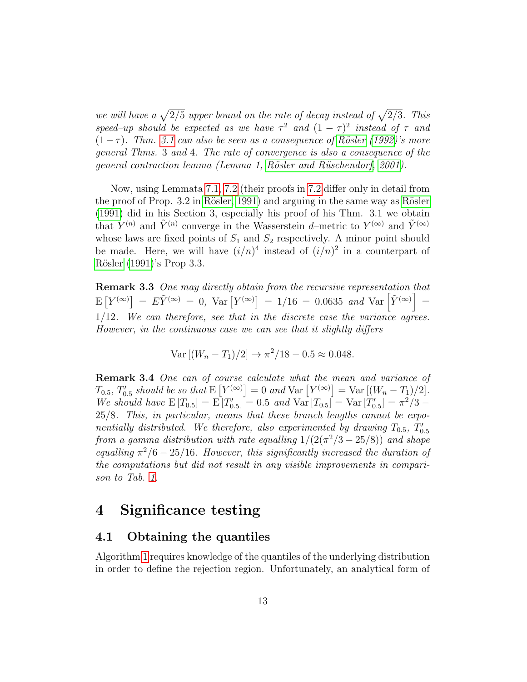we will have a  $\sqrt{2/5}$  upper bound on the rate of decay instead of  $\sqrt{2/3}$ . This speed–up should be expected as we have  $\tau^2$  and  $(1 - \tau)^2$  instead of  $\tau$  and  $(1-\tau)$ . Thm. [3.1](#page-11-2) can also be seen as a consequence of Rösler [\(1992\)](#page-45-8)'s more general Thms. 3 and 4. The rate of convergence is also a consequence of the general contraction lemma (Lemma 1, Rösler and Rüschendorf, 2001).

Now, using Lemmata [7.1,](#page-49-0) [7.2](#page-50-0) (their proofs in [7.2](#page-49-1) differ only in detail from the proof of Prop.  $3.2$  in Rösler, 1991) and arguing in the same way as Rösler [\(1991\)](#page-45-6) did in his Section 3, especially his proof of his Thm. 3.1 we obtain that  $Y^{(n)}$  and  $\tilde{Y}^{(n)}$  converge in the Wasserstein d–metric to  $Y^{(\infty)}$  and  $\tilde{Y}^{(\infty)}$ whose laws are fixed points of  $S_1$  and  $S_2$  respectively. A minor point should be made. Here, we will have  $(i/n)^4$  instead of  $(i/n)^2$  in a counterpart of Rösler [\(1991\)](#page-45-6)'s Prop 3.3.

Remark 3.3 One may directly obtain from the recursive representation that  $\mathbb{E}\left[ Y^{(\infty)} \right] = E \tilde{Y}^{(\infty)} = 0$ ,  $\text{Var}\left[ Y^{(\infty)} \right] = 1/16 = 0.0635$  and  $\text{Var}\left[ \tilde{Y}^{(\infty)} \right] = 1/16$ 1/12. We can therefore, see that in the discrete case the variance agrees. However, in the continuous case we can see that it slightly differs

$$
Var [(W_n - T_1)/2] \to \pi^2/18 - 0.5 \approx 0.048.
$$

**Remark 3.4** One can of course calculate what the mean and variance of  $T_{0.5}, T'_{0.5} \; should \; be \; so \; that \; \mathrm{E}\left[Y^{(\infty)}\right] = 0 \; and \; \mathrm{Var}\left[Y^{(\infty)}\right] = \mathrm{Var}\left[(W_n - T_1)/2\right].$ We should have  $E[T_{0.5}] = E[T'_{0.5}] = 0.5$  and  $Var[T_{0.5}] = Var[T'_{0.5}] = \pi^2/3$ 25/8. This, in particular, means that these branch lengths cannot be exponentially distributed. We therefore, also experimented by drawing  $T_{0.5}$ ,  $T'_{0.5}$ from a gamma distribution with rate equalling  $1/(2(\pi^2/3-25/8))$  and shape equalling  $\pi^2/6 - 25/16$ . However, this significantly increased the duration of the computations but did not result in any visible improvements in comparison to Tab. [1.](#page-17-0)

### <span id="page-12-0"></span>4 Significance testing

### 4.1 Obtaining the quantiles

Algorithm [1](#page-7-0) requires knowledge of the quantiles of the underlying distribution in order to define the rejection region. Unfortunately, an analytical form of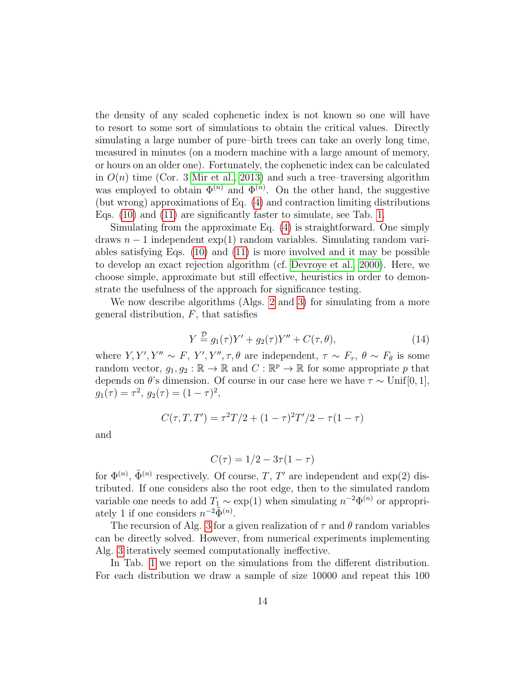the density of any scaled cophenetic index is not known so one will have to resort to some sort of simulations to obtain the critical values. Directly simulating a large number of pure–birth trees can take an overly long time, measured in minutes (on a modern machine with a large amount of memory, or hours on an older one). Fortunately, the cophenetic index can be calculated in  $O(n)$  time (Cor. 3 [Mir et al., 2013\)](#page-45-1) and such a tree–traversing algorithm was employed to obtain  $\Phi^{(n)}$  and  $\tilde{\Phi}^{(n)}$ . On the other hand, the suggestive (but wrong) approximations of Eq. [\(4\)](#page-4-3) and contraction limiting distributions Eqs. [\(10\)](#page-11-0) and [\(11\)](#page-11-1) are significantly faster to simulate, see Tab. [1.](#page-17-0)

Simulating from the approximate Eq. [\(4\)](#page-4-3) is straightforward. One simply draws  $n-1$  independent  $\exp(1)$  random variables. Simulating random variables satisfying Eqs. [\(10\)](#page-11-0) and [\(11\)](#page-11-1) is more involved and it may be possible to develop an exact rejection algorithm (cf. [Devroye et al., 2000\)](#page-44-9). Here, we choose simple, approximate but still effective, heuristics in order to demonstrate the usefulness of the approach for significance testing.

<span id="page-13-0"></span>We now describe algorithms (Algs. [2](#page-14-0) and [3\)](#page-14-1) for simulating from a more general distribution,  $F$ , that satisfies

$$
Y \stackrel{\mathcal{D}}{=} g_1(\tau)Y' + g_2(\tau)Y'' + C(\tau, \theta), \tag{14}
$$

where  $Y, Y', Y'' \sim F, Y', Y'', \tau, \theta$  are independent,  $\tau \sim F_{\tau}, \theta \sim F_{\theta}$  is some random vector,  $g_1, g_2 : \mathbb{R} \to \mathbb{R}$  and  $C : \mathbb{R}^p \to \mathbb{R}$  for some appropriate p that depends on  $\theta$ 's dimension. Of course in our case here we have  $\tau \sim \text{Unif}[0,1],$  $g_1(\tau) = \tau^2, g_2(\tau) = (1 - \tau)^2,$ 

$$
C(\tau, T, T') = \tau^2 T/2 + (1 - \tau)^2 T'/2 - \tau (1 - \tau)
$$

and

$$
C(\tau) = 1/2 - 3\tau(1 - \tau)
$$

for  $\Phi^{(n)}$ ,  $\tilde{\Phi}^{(n)}$  respectively. Of course, T, T' are independent and exp(2) distributed. If one considers also the root edge, then to the simulated random variable one needs to add  $T_1 \sim \exp(1)$  when simulating  $n^{-2}\Phi^{(n)}$  or appropriately 1 if one considers  $n^{-2}\tilde{\Phi}^{(n)}$ .

The recursion of Alg. [3](#page-14-1) for a given realization of  $\tau$  and  $\theta$  random variables can be directly solved. However, from numerical experiments implementing Alg. [3](#page-14-1) iteratively seemed computationally ineffective.

In Tab. [1](#page-17-0) we report on the simulations from the different distribution. For each distribution we draw a sample of size 10000 and repeat this 100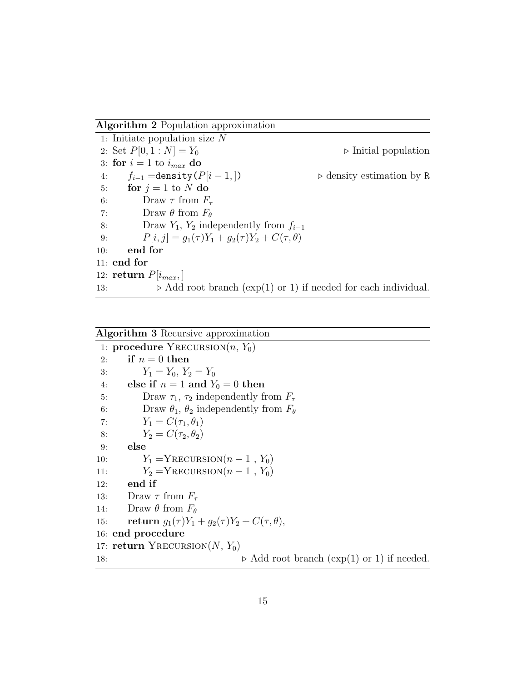<span id="page-14-0"></span>Algorithm 2 Population approximation

1: Initiate population size N 2: Set  $P[0, 1 : N] = Y_0$   $\triangleright$  Initial population 3: for  $i = 1$  to  $i_{max}$  do 4:  $f_{i-1} =$ density  $(P|i-1,|)$   $\triangleright$  density estimation by R 5: for  $j = 1$  to N do 6: Draw  $\tau$  from  $F_{\tau}$ 7: Draw  $\theta$  from  $F_{\theta}$ 8: Draw  $Y_1, Y_2$  independently from  $f_{i-1}$ 9:  $P[i, j] = g_1(\tau)Y_1 + g_2(\tau)Y_2 + C(\tau, \theta)$ 10: end for 11: end for 12: return  $P[i_{max}]$ 13:  $\triangleright$  Add root branch (exp(1) or 1) if needed for each individual.

#### <span id="page-14-1"></span>Algorithm 3 Recursive approximation

1: procedure  $Y$ RECURSION $(n, Y_0)$ 2: if  $n = 0$  then 3:  $Y_1 = Y_0, Y_2 = Y_0$ 4: else if  $n = 1$  and  $Y_0 = 0$  then 5: Draw  $\tau_1$ ,  $\tau_2$  independently from  $F_\tau$ 6: Draw  $\theta_1$ ,  $\theta_2$  independently from  $F_\theta$ 7:  $Y_1 = C(\tau_1, \theta_1)$ 8:  $Y_2 = C(\tau_2, \theta_2)$ 9: else 10:  $Y_1 = YRECURSION(n - 1, Y_0)$ 11:  $Y_2 = YRECURSION(n - 1, Y_0)$ 12: end if 13: Draw  $\tau$  from  $F_{\tau}$ 14: Draw  $\theta$  from  $F_{\theta}$ 15: **return**  $g_1(\tau)Y_1 + g_2(\tau)Y_2 + C(\tau, \theta),$ 16: end procedure 17: return YRECURSION $(N, Y_0)$ 18:  $\triangleright$  Add root branch (exp(1) or 1) if needed.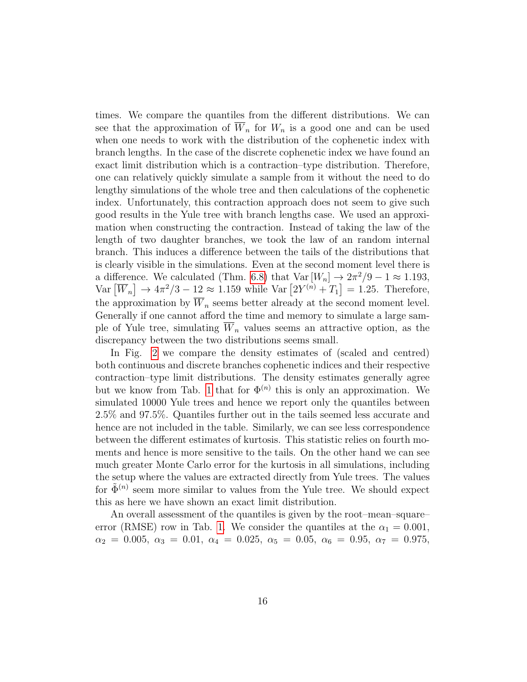times. We compare the quantiles from the different distributions. We can see that the approximation of  $\overline{W}_n$  for  $W_n$  is a good one and can be used when one needs to work with the distribution of the cophenetic index with branch lengths. In the case of the discrete cophenetic index we have found an exact limit distribution which is a contraction–type distribution. Therefore, one can relatively quickly simulate a sample from it without the need to do lengthy simulations of the whole tree and then calculations of the cophenetic index. Unfortunately, this contraction approach does not seem to give such good results in the Yule tree with branch lengths case. We used an approximation when constructing the contraction. Instead of taking the law of the length of two daughter branches, we took the law of an random internal branch. This induces a difference between the tails of the distributions that is clearly visible in the simulations. Even at the second moment level there is a difference. We calculated (Thm. [6.8\)](#page-36-0) that  $Var[W_n] \to 2\pi^2/9 - 1 \approx 1.193$ ,  $\text{Var}\left[\overline{W}_n\right] \rightarrow 4\pi^2/3 - 12 \approx 1.159 \text{ while } \text{Var}\left[2Y^{(n)} + T_1\right] = 1.25. \text{ Therefore,}$ the approximation by  $\overline{W}_n$  seems better already at the second moment level. Generally if one cannot afford the time and memory to simulate a large sample of Yule tree, simulating  $W_n$  values seems an attractive option, as the discrepancy between the two distributions seems small.

In Fig. [2](#page-18-0) we compare the density estimates of (scaled and centred) both continuous and discrete branches cophenetic indices and their respective contraction–type limit distributions. The density estimates generally agree but we know from Tab. [1](#page-17-0) that for  $\Phi^{(n)}$  this is only an approximation. We simulated 10000 Yule trees and hence we report only the quantiles between 2.5% and 97.5%. Quantiles further out in the tails seemed less accurate and hence are not included in the table. Similarly, we can see less correspondence between the different estimates of kurtosis. This statistic relies on fourth moments and hence is more sensitive to the tails. On the other hand we can see much greater Monte Carlo error for the kurtosis in all simulations, including the setup where the values are extracted directly from Yule trees. The values for  $\tilde{\Phi}^{(n)}$  seem more similar to values from the Yule tree. We should expect this as here we have shown an exact limit distribution.

An overall assessment of the quantiles is given by the root–mean–square– error (RMSE) row in Tab. [1.](#page-17-0) We consider the quantiles at the  $\alpha_1 = 0.001$ ,  $\alpha_2 = 0.005, \ \alpha_3 = 0.01, \ \alpha_4 = 0.025, \ \alpha_5 = 0.05, \ \alpha_6 = 0.95, \ \alpha_7 = 0.975,$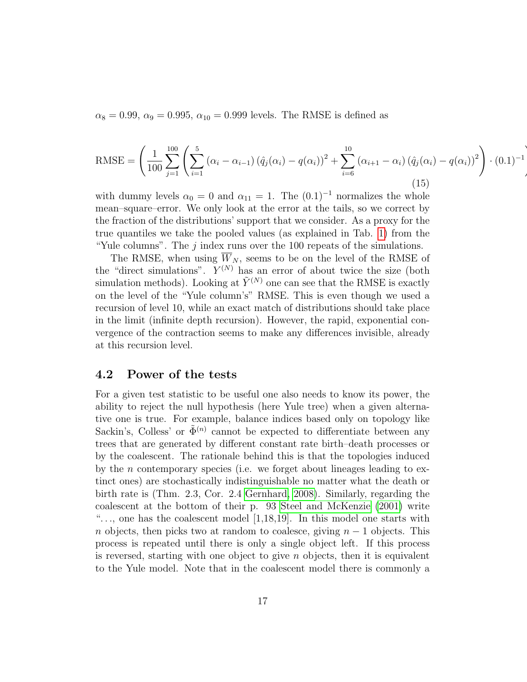<span id="page-16-1"></span> $\alpha_8 = 0.99, \ \alpha_9 = 0.995, \ \alpha_{10} = 0.999$  levels. The RMSE is defined as

RMSE = 
$$
\left(\frac{1}{100}\sum_{j=1}^{100} \left(\sum_{i=1}^{5} (\alpha_i - \alpha_{i-1})(\hat{q}_j(\alpha_i) - q(\alpha_i))^2 + \sum_{i=6}^{10} (\alpha_{i+1} - \alpha_i)(\hat{q}_j(\alpha_i) - q(\alpha_i))^2\right) \cdot (0.1)^{-1}
$$
(15)

!

with dummy levels  $\alpha_0 = 0$  and  $\alpha_{11} = 1$ . The  $(0.1)^{-1}$  normalizes the whole mean–square–error. We only look at the error at the tails, so we correct by the fraction of the distributions' support that we consider. As a proxy for the true quantiles we take the pooled values (as explained in Tab. [1\)](#page-17-0) from the "Yule columns". The  $j$  index runs over the 100 repeats of the simulations.

The RMSE, when using  $\overline{W}_N$ , seems to be on the level of the RMSE of the "direct simulations".  $Y^{(N)}$  has an error of about twice the size (both simulation methods). Looking at  $\tilde{Y}^{(N)}$  one can see that the RMSE is exactly on the level of the "Yule column's" RMSE. This is even though we used a recursion of level 10, while an exact match of distributions should take place in the limit (infinite depth recursion). However, the rapid, exponential convergence of the contraction seems to make any differences invisible, already at this recursion level.

### <span id="page-16-0"></span>4.2 Power of the tests

For a given test statistic to be useful one also needs to know its power, the ability to reject the null hypothesis (here Yule tree) when a given alternative one is true. For example, balance indices based only on topology like Sackin's, Colless' or  $\tilde{\Phi}^{(n)}$  cannot be expected to differentiate between any trees that are generated by different constant rate birth–death processes or by the coalescent. The rationale behind this is that the topologies induced by the *n* contemporary species (i.e. we forget about lineages leading to extinct ones) are stochastically indistinguishable no matter what the death or birth rate is (Thm. 2.3, Cor. 2.4 [Gernhard, 2008\)](#page-44-10). Similarly, regarding the coalescent at the bottom of their p. 93 [Steel and McKenzie](#page-46-2) [\(2001\)](#page-46-2) write " $\ldots$ , one has the coalescent model [1,18,19]. In this model one starts with n objects, then picks two at random to coalesce, giving  $n-1$  objects. This process is repeated until there is only a single object left. If this process is reversed, starting with one object to give  $n$  objects, then it is equivalent to the Yule model. Note that in the coalescent model there is commonly a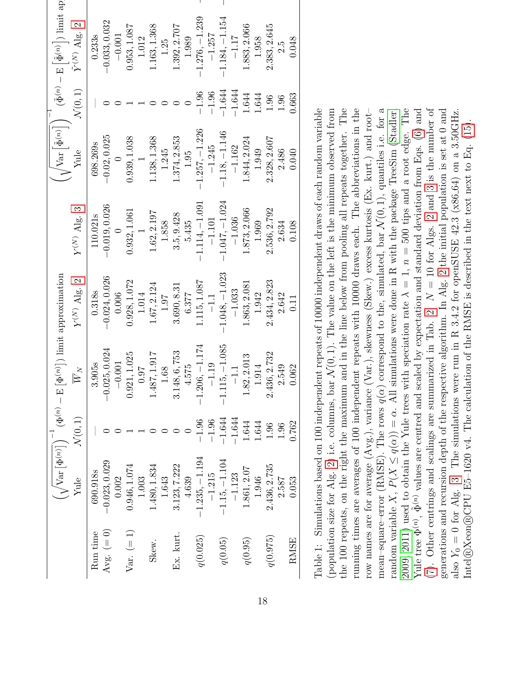<span id="page-17-0"></span>

|              |                  |                    | $\left(\sqrt{\operatorname{Var}\big[\Phi^{(n)}\big]\big)}^{-1}\left(\Phi^{(n)}-\operatorname{E}\big[\Phi^{(n)}\big]\right)\lim\limits_{\longrightarrow}$ | approximation    |                  |                  |                    | $\left(\sqrt{\text{Var}\left[\tilde{\Phi}^{(n)}\right]}^{-1}\right)^{-1}(\tilde{\Phi}^{(n)} - \text{E}\left[\tilde{\Phi}^{(n)}\right])$ limit app |  |
|--------------|------------------|--------------------|----------------------------------------------------------------------------------------------------------------------------------------------------------|------------------|------------------|------------------|--------------------|---------------------------------------------------------------------------------------------------------------------------------------------------|--|
|              | Yule             | $\mathcal{N}(0,1)$ | $\overline{W}_N$                                                                                                                                         | $Y^{(N)}$ Alg. 2 | $Y^{(N)}$ Alg. 3 | Vule             | $\mathcal{N}(0,1)$ | $\tilde{Y}^{(N)}$ Alg. 2                                                                                                                          |  |
| Run time     | 690.918s         |                    | 3.905s                                                                                                                                                   | 0.318s           | 110.021s         | 698.269s         |                    | 0.233s                                                                                                                                            |  |
| Avg. $(= 0)$ | $-0.023, 0.029$  |                    | $-0.025, 0.024$                                                                                                                                          | $-0.024, 0.026$  | $-0.019, 0.026$  | $-0.02, 0.025$   |                    | $-0.033, 0.032$                                                                                                                                   |  |
|              | 0.002            |                    | $-0.001$                                                                                                                                                 | 0.006            |                  |                  |                    | $-0.001$                                                                                                                                          |  |
| $Var. (= 1)$ | 0.946, 1.074     |                    | 0.921, 1.025                                                                                                                                             | 0.928, 1.072     | 0.932, 1.061     | 0.939, 1.038     |                    | 0.953, 1.087                                                                                                                                      |  |
|              | 1.003            |                    | 0.97                                                                                                                                                     | 1.014            |                  |                  |                    | 1.012                                                                                                                                             |  |
| Skew.        | 1.480, 1.834     |                    | 1.487, 1.917                                                                                                                                             | 1.67, 2.124      | 1.62, 2.197      | 1.138, 1.368     |                    | 1.163, 1.368                                                                                                                                      |  |
|              | 1.643            |                    | 1.68                                                                                                                                                     | 1.97             | 1.858            | 1.245            |                    | 1.25                                                                                                                                              |  |
| Ex. kurt.    | 3.123, 7.222     |                    | 3.148, 6, 753                                                                                                                                            | 3.690, 8.31      | 3.5, 9.428       | 1.374, 2.853     |                    | 1.392, 2.707                                                                                                                                      |  |
|              | 4.639            |                    | 4.575                                                                                                                                                    | 6.377            | 5.435            | 1.95             |                    | 1.989                                                                                                                                             |  |
| q(0.025)     | $-1.235, -1.194$ | $-1.96$            | $-1.206, -1.174$                                                                                                                                         | 1.115, 1.087     | $-1.114, -1.091$ | $-1.257, -1.226$ | $-1.96$            | $-1.276, -1.239$                                                                                                                                  |  |
|              | $-1.215$         | $-1.96$            | $-1.19$                                                                                                                                                  | $-1.1$           | $-1.101$         | $-1.245$         | $-1.96$            | $-1.257$                                                                                                                                          |  |
| q(0.05)      | $-1.15, -1.104$  | $-1.644$           | $-1.115, -1.085$                                                                                                                                         | $-1.048, -1.023$ | $-1.047, -1.024$ | $-1.18, -1.146$  | $-1.644$           | $-1.184, -1.154$                                                                                                                                  |  |
|              | $-1.123$         | $-1.644$           | $-1.1$                                                                                                                                                   | $-1.033$         | $-1.036$         | $-1.162$         | $-1.644$           | $-1.17$                                                                                                                                           |  |
| q(0.95)      | 1.861, 2.07      | 1.644              | .82, 2.013                                                                                                                                               | 1.863, 2.081     | 1.873, 2.066     | 1.844, 2.024     | 1.644              | 1.883, 2.066                                                                                                                                      |  |
|              | 1.946            | 1.644              | 1.914                                                                                                                                                    | 1.942            | 1.969            | 1.949            | 1.644              | 1.958                                                                                                                                             |  |
| q(0.975)     | 2.436, 2.735     | 1.96               | 2.436, 2.732                                                                                                                                             | 2.434, 2.823     | 2.536, 2.792     | 2.328, 2.607     | 1.96               | 2.383, 2.645                                                                                                                                      |  |
|              | 2.587            | 0.96               | 2.549                                                                                                                                                    | 2.642            | 2.634            | 2.486            | 0.96               | 2.5                                                                                                                                               |  |
| RMSE         | 0.053            | 0.762              | 0.062                                                                                                                                                    | 0.11             | 0.108            | 0.040            | 0.663              | 0.048                                                                                                                                             |  |
|              |                  |                    |                                                                                                                                                          |                  |                  |                  |                    |                                                                                                                                                   |  |

mean–square–error (RMSE). The rows  $q(\alpha)$  correspond to the, simulated, bar  $\mathcal{N}(0, 1)$ , quantiles i.e. for a (population size for Alg. 2) i.e. columns, bar  $\mathcal{N}(0,1)$ . The value on the left is the minimum observed from the 100 repeats, on the right the maximum and in the line below from pooling all repeats together. The running times are averages of 100 independent repeats with 10000 draws each. The abbreviations in the mean-square-error (RMSE). The rows  $q(\alpha)$  correspond to the, simulated, bar  $\mathcal{N}(0,1)$ , quantiles i.e. for a [\(7\)](#page-8-2). Other centrings and scalings are summarized in Tab.  $2$ .  $N = 10$  for Algs. 2 and [3](#page-14-1) is the number of  $(7)$ . Table 1: Simulations based on 100 independent repeats of 10000 independent draws of each random variable Table 1: Simulations based on 100 independent repeats of 10000 independent draws of each random variable (population size for Alg. [2\)](#page-14-0) i.e. columns, bar  $\mathcal{N}(0, 1)$ . The value on the left is the minimum observed from  $\mathbb{L}_n$ ,  $\mathbb{L}_n$  and  $\mathbb{L}_n$  is the minimum observed from the 100 repeats, on the right the maximum and in the line below from pooling all repeats together. The running times are averages of 100 independent repeats with 10000 draws each. The abbreviations in the cow names are for average  $(Avg.)$ , variance  $(Var.)$ , skewness  $(Skew.)$  excess kurtosis  $(Ex.$  kurt.) and rootrow names are for average (Avg.), variance (Var.), skewness (Skew.) excess kurtosis (Ex. kurt.) and root– random variable X,  $P(X \leq q(\alpha)) = \alpha$ . All simulations were done in R with the package TreeSim (Stadler, 2009, 2011) used to obtain the Yule trees with speciation rate  $\lambda = 1$ ,  $n = 500$  tips and a root edge. The [2009,](#page-45-2) [2011\)](#page-46-4) used to obtain the Yule trees with speciation rate  $\lambda = 1$ ,  $n = 500$  tips and a root edge. The Yule tree  $\Phi^{(n)}$ ,  $\tilde{\Phi}^{(n)}$  values are centred and scaled by expectation and standard deviation from Eqs. (6) and Yule tree  $\Phi^{(n)}$ ,  $\tilde{\Phi}^{(n)}$  values are centred and scaled by expectation and standard deviation from Eqs. [\(6\)](#page-8-1) and (7). Other centrings and scalings are summarized in Tab. 2.  $N = 10$  for Algs. 2 and 3 is the number of generations and recursion depth of the respective algorithm. In Alg. 2 the initial population is set at  $0$  and generations and recursion depth of the respective algorithm. In Alg. [2](#page-14-0) the initial population is set at 0 and also  $Y_0 = 0$  for Alg. 3. The simulations were run in R 3.4.2 for openSUSE 42.3 (x86-64) on a 3.50GHz. also  $Y_0 = 0$  for Alg. [3.](#page-14-1) The simulations were run in R 3.4.2 for openSUSE 42.3 (x86-64) on a 3.50GHz. random variable X,  $P(X \leq q(\alpha)) = \alpha$ . All simulations were done in R with the package TreeSim ([Stadler,](#page-45-2)  $\alpha_0$ intel®Xeon®CPU E5-1620 v4. The calculation of the RMSE is described in the text next to Eq.  $(15)$ . Intel®Xeon®CPU E5–1620 v4. The calculation of the RMSE is described in the text next to Eq. [\(15\)](#page-16-1).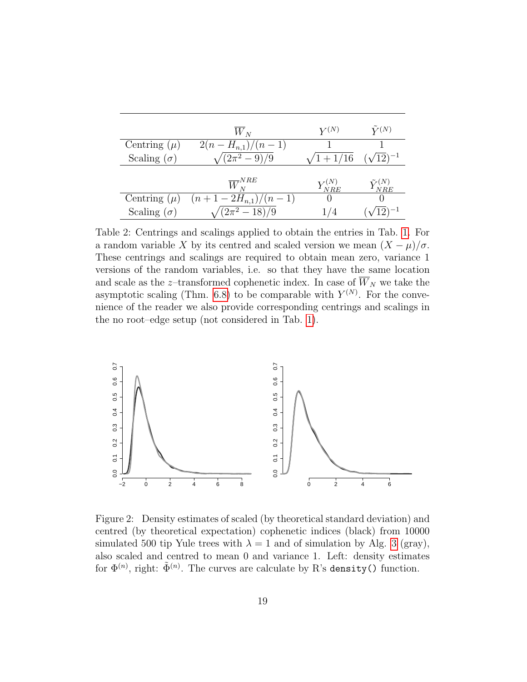|                    | $W_N$                    | $Y^{(N)}$                            | $\tilde{Y}^{(N)}$      |
|--------------------|--------------------------|--------------------------------------|------------------------|
| Centring $(\mu)$   | $2(n-H_{n,1})/(n-1)$     |                                      |                        |
| Scaling $(\sigma)$ | $(2\pi^2-9)/9$           | $\sqrt{1+1/16}$                      | $(\sqrt{12})^{-1}$     |
|                    |                          |                                      |                        |
|                    | $\overline{W}_{N}^{NRE}$ | $Y^{\scriptscriptstyle{(IV)}}_{NRE}$ | $\tilde Y^{(N)}_{NRE}$ |
| Centring $(\mu)$   | $(n+1-2H_{n,1})/(n-1)$   |                                      |                        |
| Scaling $(\sigma)$ | $\sqrt{(2\pi^2-18)/9}$   |                                      |                        |

<span id="page-18-1"></span>Table 2: Centrings and scalings applied to obtain the entries in Tab. [1.](#page-17-0) For a random variable X by its centred and scaled version we mean  $(X - \mu)/\sigma$ . These centrings and scalings are required to obtain mean zero, variance 1 versions of the random variables, i.e. so that they have the same location and scale as the z-transformed cophenetic index. In case of  $\overline{W}_N$  we take the asymptotic scaling (Thm. [6.8\)](#page-36-0) to be comparable with  $Y^{(N)}$ . For the convenience of the reader we also provide corresponding centrings and scalings in the no root–edge setup (not considered in Tab. [1\)](#page-17-0).



<span id="page-18-0"></span>Figure 2: Density estimates of scaled (by theoretical standard deviation) and centred (by theoretical expectation) cophenetic indices (black) from 10000 simulated 500 tip Yule trees with  $\lambda = 1$  and of simulation by Alg. [3](#page-14-1) (gray), also scaled and centred to mean 0 and variance 1. Left: density estimates for  $\Phi^{(n)}$ , right:  $\tilde{\Phi}^{(n)}$ . The curves are calculate by R's density() function.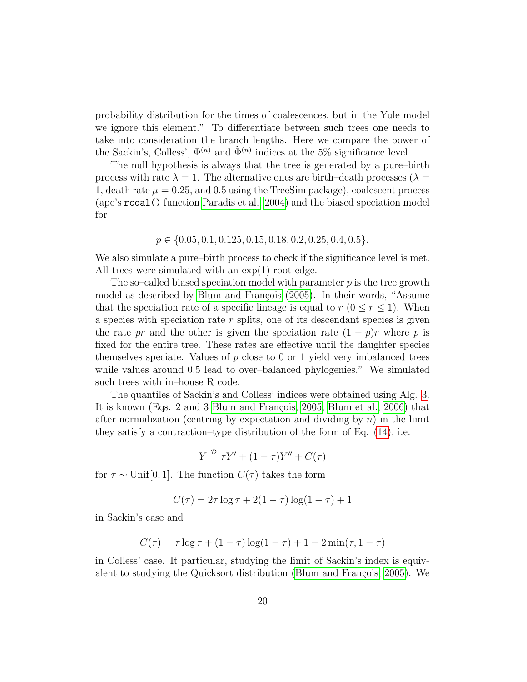probability distribution for the times of coalescences, but in the Yule model we ignore this element." To differentiate between such trees one needs to take into consideration the branch lengths. Here we compare the power of the Sackin's, Colless',  $\Phi^{(n)}$  and  $\tilde{\Phi}^{(n)}$  indices at the 5% significance level.

The null hypothesis is always that the tree is generated by a pure–birth process with rate  $\lambda = 1$ . The alternative ones are birth–death processes ( $\lambda =$ 1, death rate  $\mu = 0.25$ , and 0.5 using the TreeSim package), coalescent process (ape's rcoal() function [Paradis et al., 2004\)](#page-45-10) and the biased speciation model for

$$
p \in \{0.05, 0.1, 0.125, 0.15, 0.18, 0.2, 0.25, 0.4, 0.5\}.
$$

We also simulate a pure–birth process to check if the significance level is met. All trees were simulated with an  $\exp(1)$  root edge.

The so–called biased speciation model with parameter  $p$  is the tree growth model as described by Blum and François [\(2005\)](#page-43-0). In their words, "Assume that the speciation rate of a specific lineage is equal to  $r (0 \le r \le 1)$ . When a species with speciation rate  $r$  splits, one of its descendant species is given the rate pr and the other is given the speciation rate  $(1 - p)r$  where p is fixed for the entire tree. These rates are effective until the daughter species themselves speciate. Values of  $p$  close to 0 or 1 yield very imbalanced trees while values around 0.5 lead to over–balanced phylogenies." We simulated such trees with in–house R code.

The quantiles of Sackin's and Colless' indices were obtained using Alg. [3.](#page-14-1) It is known (Eqs. 2 and 3 Blum and François, 2005; [Blum et al., 2006\)](#page-43-3) that after normalization (centring by expectation and dividing by  $n$ ) in the limit they satisfy a contraction–type distribution of the form of Eq. [\(14\)](#page-13-0), i.e.

$$
Y \stackrel{\mathcal{D}}{=} \tau Y' + (1 - \tau)Y'' + C(\tau)
$$

for  $\tau \sim$  Unif[0, 1]. The function  $C(\tau)$  takes the form

$$
C(\tau) = 2\tau \log \tau + 2(1 - \tau) \log(1 - \tau) + 1
$$

in Sackin's case and

$$
C(\tau) = \tau \log \tau + (1 - \tau) \log(1 - \tau) + 1 - 2\min(\tau, 1 - \tau)
$$

in Colless' case. It particular, studying the limit of Sackin's index is equivalent to studying the Quicksort distribution (Blum and François, 2005). We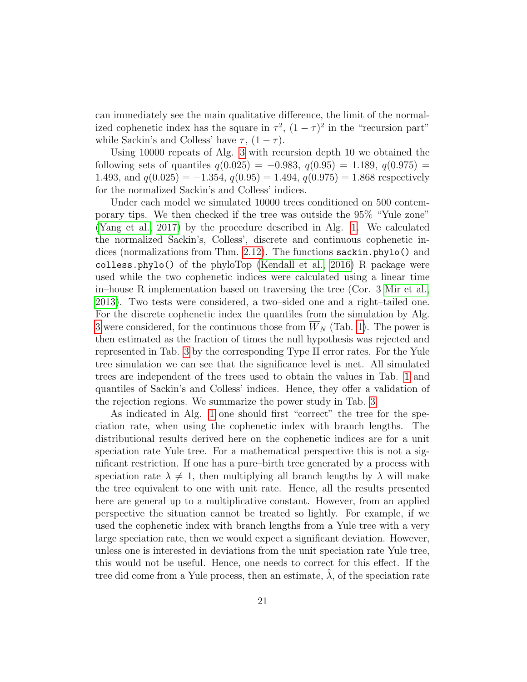can immediately see the main qualitative difference, the limit of the normalized cophenetic index has the square in  $\tau^2$ ,  $(1 - \tau)^2$  in the "recursion part" while Sackin's and Colless' have  $\tau$ ,  $(1 - \tau)$ .

Using 10000 repeats of Alg. [3](#page-14-1) with recursion depth 10 we obtained the following sets of quantiles  $q(0.025) = -0.983, q(0.95) = 1.189, q(0.975) =$ 1.493, and  $q(0.025) = -1.354$ ,  $q(0.95) = 1.494$ ,  $q(0.975) = 1.868$  respectively for the normalized Sackin's and Colless' indices.

Under each model we simulated 10000 trees conditioned on 500 contemporary tips. We then checked if the tree was outside the 95% "Yule zone" [\(Yang et al., 2017\)](#page-46-1) by the procedure described in Alg. [1.](#page-7-0) We calculated the normalized Sackin's, Colless', discrete and continuous cophenetic indices (normalizations from Thm. [2.12\)](#page-7-1). The functions sackin.phylo() and colless.phylo() of the phyloTop [\(Kendall et al., 2016\)](#page-44-11) R package were used while the two cophenetic indices were calculated using a linear time in–house R implementation based on traversing the tree (Cor. 3 [Mir et al.,](#page-45-1) [2013\)](#page-45-1). Two tests were considered, a two–sided one and a right–tailed one. For the discrete cophenetic index the quantiles from the simulation by Alg. [3](#page-14-1) were considered, for the continuous those from  $\overline{W}_N$  (Tab. [1\)](#page-17-0). The power is then estimated as the fraction of times the null hypothesis was rejected and represented in Tab. [3](#page-21-0) by the corresponding Type II error rates. For the Yule tree simulation we can see that the significance level is met. All simulated trees are independent of the trees used to obtain the values in Tab. [1](#page-17-0) and quantiles of Sackin's and Colless' indices. Hence, they offer a validation of the rejection regions. We summarize the power study in Tab. [3.](#page-21-0)

As indicated in Alg. [1](#page-7-0) one should first "correct" the tree for the speciation rate, when using the cophenetic index with branch lengths. The distributional results derived here on the cophenetic indices are for a unit speciation rate Yule tree. For a mathematical perspective this is not a significant restriction. If one has a pure–birth tree generated by a process with speciation rate  $\lambda \neq 1$ , then multiplying all branch lengths by  $\lambda$  will make the tree equivalent to one with unit rate. Hence, all the results presented here are general up to a multiplicative constant. However, from an applied perspective the situation cannot be treated so lightly. For example, if we used the cophenetic index with branch lengths from a Yule tree with a very large speciation rate, then we would expect a significant deviation. However, unless one is interested in deviations from the unit speciation rate Yule tree, this would not be useful. Hence, one needs to correct for this effect. If the tree did come from a Yule process, then an estimate,  $\lambda$ , of the speciation rate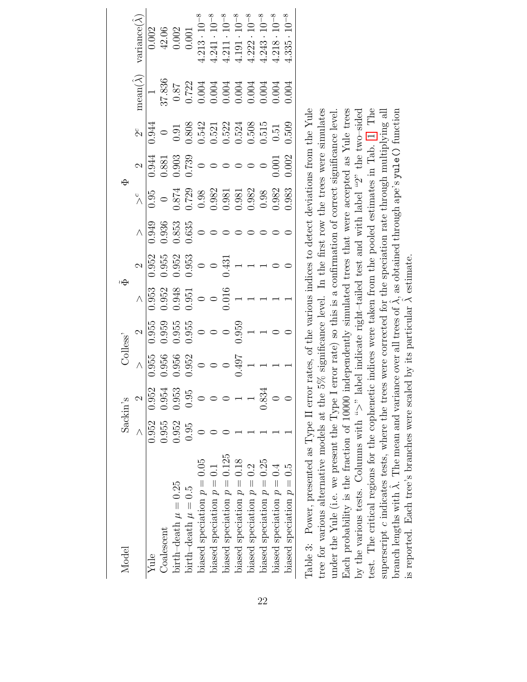<span id="page-21-0"></span>

| Model                           | Sackin's |       |                                         | <b>Colless</b>                                         |                                                                                    |                                                                                                                      |                                  |                                                                                                                                                                |                                              |                                                                                                                              |                                                                                                                                                                                                                                                                    |                                                                                 |
|---------------------------------|----------|-------|-----------------------------------------|--------------------------------------------------------|------------------------------------------------------------------------------------|----------------------------------------------------------------------------------------------------------------------|----------------------------------|----------------------------------------------------------------------------------------------------------------------------------------------------------------|----------------------------------------------|------------------------------------------------------------------------------------------------------------------------------|--------------------------------------------------------------------------------------------------------------------------------------------------------------------------------------------------------------------------------------------------------------------|---------------------------------------------------------------------------------|
|                                 |          |       |                                         | $\sim$                                                 |                                                                                    |                                                                                                                      | $\wedge$                         |                                                                                                                                                                |                                              | $\beta$                                                                                                                      | $\mathop{\mathrm{mean}}\nolimits(\hat{\lambda})$                                                                                                                                                                                                                   | rariance(                                                                       |
| Yule                            | 0.952    | 0.952 | 1.955                                   |                                                        | $\frac{1}{0.953}$                                                                  |                                                                                                                      |                                  |                                                                                                                                                                |                                              | 0.944                                                                                                                        |                                                                                                                                                                                                                                                                    | 0.002                                                                           |
| Coalescent                      | 0.955    | 0.954 |                                         |                                                        |                                                                                    |                                                                                                                      |                                  |                                                                                                                                                                |                                              |                                                                                                                              |                                                                                                                                                                                                                                                                    |                                                                                 |
| birth-death $\mu=0.25$          | 0.952    | 0.953 | $0.956$<br>$0.956$<br>$0$<br>$0$<br>$0$ | $\overline{)0.959}_{0.955}$<br>0.958<br>0.955<br>0.955 |                                                                                    |                                                                                                                      | 0.949<br>0.936<br>0.853<br>0.635 |                                                                                                                                                                | $\frac{2}{0.944}$<br>0.881<br>0.903<br>0.739 |                                                                                                                              |                                                                                                                                                                                                                                                                    | 42.06<br>0.002<br>0.001<br>4.213 · 10 <sup>-8</sup><br>4.241 · 10 <sup>-8</sup> |
| $\delta$ irth-death $\mu = 0.5$ | 0.95     | 0.95  |                                         |                                                        |                                                                                    |                                                                                                                      |                                  |                                                                                                                                                                |                                              |                                                                                                                              |                                                                                                                                                                                                                                                                    |                                                                                 |
| biased speciation $p = 0.05$    |          |       |                                         |                                                        |                                                                                    |                                                                                                                      |                                  |                                                                                                                                                                | $\circ$                                      |                                                                                                                              |                                                                                                                                                                                                                                                                    |                                                                                 |
| biased speciation $p = 0.1$     |          |       |                                         | $\bigcirc$                                             | $\begin{array}{c} 0.952 \\ 0.948 \\ 0.951 \\ 0 \\ 0 \\ 0 \\ 0 \\ 1 \\ \end{array}$ | $\begin{array}{r} 2 \\ \hline 1.952 \\ 0.955 \\ 0.953 \\ 0.953 \\ 0.953 \\ 0.053 \\ 0.053 \\ 0.431 \\ 1 \end{array}$ |                                  |                                                                                                                                                                | $\circ$                                      |                                                                                                                              |                                                                                                                                                                                                                                                                    |                                                                                 |
| biased speciation $p = 0.125$   |          |       | $\circ$                                 |                                                        |                                                                                    |                                                                                                                      |                                  |                                                                                                                                                                |                                              |                                                                                                                              |                                                                                                                                                                                                                                                                    | $4.211 \cdot 10^{-8}$<br>$4.191 \cdot 10^{-8}$                                  |
| biased speciation $p = 0.18$    |          |       | 1.497                                   | $\frac{0}{0.959}$                                      |                                                                                    |                                                                                                                      |                                  | $\begin{array}{r} \times e \\ \hline 0.95 \\ 0.874 \\ 0.729 \\ 0.98 \\ 0.98 \\ 0.981 \\ 0.981 \\ 0.981 \\ 0.982 \\ 0.982 \\ 0.982 \\ 0.98 \\ 0.98 \end{array}$ |                                              | $\begin{array}{c} 0 \\ 0.91 \\ 0.808 \\ 0.542 \\ 0.521 \\ 0.522 \\ 0.508 \\ 0.508 \\ 0.508 \\ 0.508 \\ 0.515 \\ \end{array}$ | $\begin{array}{l} 37.836\\ 0.87\\ 0.03\\ 0.004\\ 0.0004\\ 0.0004\\ 0.0004\\ 0.0004\\ 0.0004\\ 0.0004\\ 0.0004\\ 0.0004\\ 0.0004\\ 0.0004\\ 0.0004\\ 0.0004\\ 0.0004\\ 0.0004\\ 0.0004\\ 0.0004\\ 0.0004\\ 0.0004\\ 0.0004\\ 0.0004\\ 0.0004\\ 0.0004\\ 0.0004\\ 0$ |                                                                                 |
| biased speciation $p = 0.2$     |          |       |                                         |                                                        |                                                                                    |                                                                                                                      |                                  |                                                                                                                                                                | $\circ$                                      |                                                                                                                              |                                                                                                                                                                                                                                                                    | $1.222 \cdot 10^{-8}$                                                           |
| biased speciation $p = 0.25$    |          | 0.834 |                                         |                                                        |                                                                                    |                                                                                                                      |                                  |                                                                                                                                                                |                                              |                                                                                                                              |                                                                                                                                                                                                                                                                    | $1.243 \cdot 10^{-8}$                                                           |
| biased speciation $p = 0.4$     |          |       |                                         |                                                        |                                                                                    |                                                                                                                      |                                  | 0.982                                                                                                                                                          | 0.001                                        | $0.51\,$                                                                                                                     |                                                                                                                                                                                                                                                                    | $1.218 \cdot 10^{-8}$                                                           |
| biased speciation $p = 0.5$     |          |       |                                         |                                                        |                                                                                    |                                                                                                                      |                                  | 0.983                                                                                                                                                          | 1.002                                        | 0.509                                                                                                                        |                                                                                                                                                                                                                                                                    | $10^{-8}$<br>$1.335 -$                                                          |
|                                 |          |       |                                         |                                                        |                                                                                    |                                                                                                                      |                                  |                                                                                                                                                                |                                              |                                                                                                                              |                                                                                                                                                                                                                                                                    |                                                                                 |

Table 3: Power, presented as Type II error rates, of the various indices to detect deviations from the Yule tree for various alternative models at the  $5\%$  significance level. In the first row the trees were simulates Each probability is the fraction of 10000 independently simulated trees that were accepted as Yule trees test. The critical regions for the cophenetic indices were taken from the pooled estimates in Tab. 1. The Table 3: Power, presented as Type II error rates, of the various indices to detect deviations from the Yule tree for various alternative models at the 5% significance level. In the first row the trees were simulates under the Yule (i.e. we present the Type I error rate) so this is a confirmation of correct significance level. Each probability is the fraction of 10000 independently simulated trees that were accepted as Yule trees by the various tests. Columns with ">" label indicate right-tailed test and with label "2" the two-sided by the various tests. Columns with ">" label indicate right–tailed test and with label "2" the two–sided test. The critical regions for the cophenetic indices were taken from the pooled estimates in Tab. [1.](#page-17-0) The superscript c indicates tests, where the trees were corrected for the speciation rate through multiplying all superscript c indicates tests, where the trees were corrected for the speciation rate through multiplying all  $\lambda$ , as obtained through ape's yu1e () function under the Yule (i.e. we present the Type I error rate) so this is a confirmation of correct significance level.  $\hat{\lambda}$  estimate. ˆλ. The mean and variance over all trees of is reported. Each tree's branches were scaled by its particular ˆbranch lengths with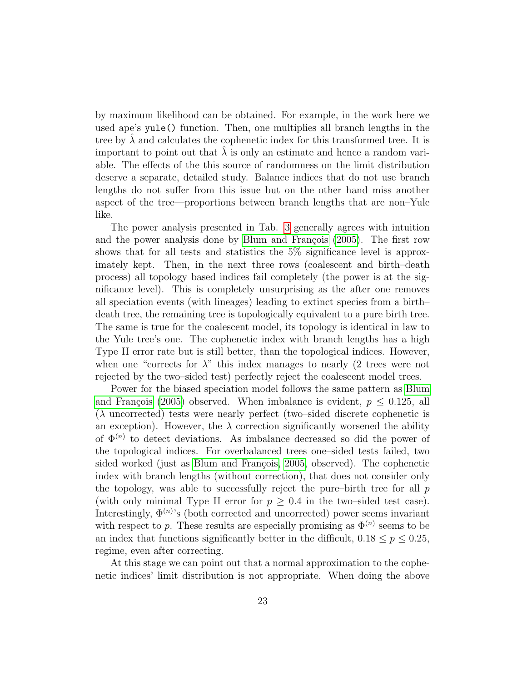by maximum likelihood can be obtained. For example, in the work here we used ape's yule() function. Then, one multiplies all branch lengths in the tree by  $\lambda$  and calculates the cophenetic index for this transformed tree. It is important to point out that  $\lambda$  is only an estimate and hence a random variable. The effects of the this source of randomness on the limit distribution deserve a separate, detailed study. Balance indices that do not use branch lengths do not suffer from this issue but on the other hand miss another aspect of the tree—proportions between branch lengths that are non–Yule like.

The power analysis presented in Tab. [3](#page-21-0) generally agrees with intuition and the power analysis done by Blum and François [\(2005\)](#page-43-0). The first row shows that for all tests and statistics the 5% significance level is approximately kept. Then, in the next three rows (coalescent and birth–death process) all topology based indices fail completely (the power is at the significance level). This is completely unsurprising as the after one removes all speciation events (with lineages) leading to extinct species from a birth– death tree, the remaining tree is topologically equivalent to a pure birth tree. The same is true for the coalescent model, its topology is identical in law to the Yule tree's one. The cophenetic index with branch lengths has a high Type II error rate but is still better, than the topological indices. However, when one "corrects for  $\lambda$ " this index manages to nearly (2 trees were not rejected by the two–sided test) perfectly reject the coalescent model trees.

Power for the biased speciation model follows the same pattern as [Blum](#page-43-0) and François [\(2005\)](#page-43-0) observed. When imbalance is evident,  $p \leq 0.125$ , all  $(\lambda$  uncorrected) tests were nearly perfect (two–sided discrete cophenetic is an exception). However, the  $\lambda$  correction significantly worsened the ability of  $\Phi^{(n)}$  to detect deviations. As imbalance decreased so did the power of the topological indices. For overbalanced trees one–sided tests failed, two sided worked (just as Blum and François, 2005, observed). The cophenetic index with branch lengths (without correction), that does not consider only the topology, was able to successfully reject the pure–birth tree for all  $p$ (with only minimal Type II error for  $p \geq 0.4$  in the two–sided test case). Interestingly,  $\Phi^{(n)}$ 's (both corrected and uncorrected) power seems invariant with respect to p. These results are especially promising as  $\Phi^{(n)}$  seems to be an index that functions significantly better in the difficult,  $0.18 \le p \le 0.25$ , regime, even after correcting.

At this stage we can point out that a normal approximation to the cophenetic indices' limit distribution is not appropriate. When doing the above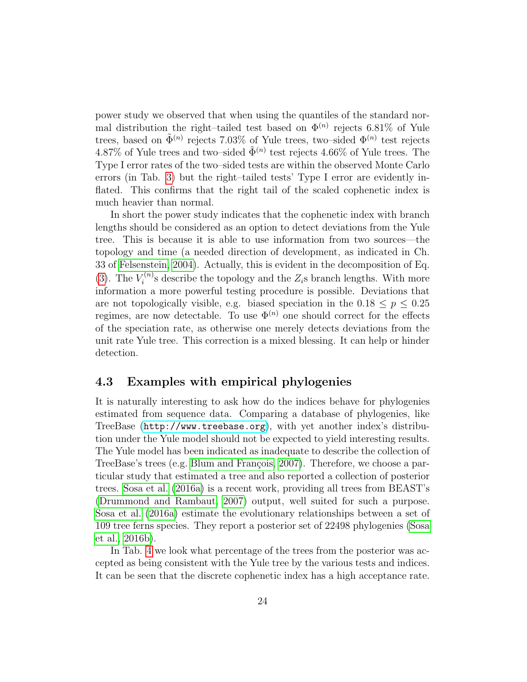power study we observed that when using the quantiles of the standard normal distribution the right–tailed test based on  $\Phi^{(n)}$  rejects 6.81% of Yule trees, based on  $\tilde{\Phi}^{(n)}$  rejects 7.03% of Yule trees, two–sided  $\Phi^{(n)}$  test rejects 4.87% of Yule trees and two–sided  $\tilde{\Phi}^{(n)}$  test rejects 4.66% of Yule trees. The Type I error rates of the two–sided tests are within the observed Monte Carlo errors (in Tab. [3\)](#page-21-0) but the right–tailed tests' Type I error are evidently inflated. This confirms that the right tail of the scaled cophenetic index is much heavier than normal.

In short the power study indicates that the cophenetic index with branch lengths should be considered as an option to detect deviations from the Yule tree. This is because it is able to use information from two sources—the topology and time (a needed direction of development, as indicated in Ch. 33 of [Felsenstein, 2004\)](#page-44-1). Actually, this is evident in the decomposition of Eq. [\(3\)](#page-4-2). The  $V_i^{(n)}$  $z_i^{(n)}$  describe the topology and the  $Z_i$ s branch lengths. With more information a more powerful testing procedure is possible. Deviations that are not topologically visible, e.g. biased speciation in the  $0.18 \le p \le 0.25$ regimes, are now detectable. To use  $\Phi^{(n)}$  one should correct for the effects of the speciation rate, as otherwise one merely detects deviations from the unit rate Yule tree. This correction is a mixed blessing. It can help or hinder detection.

### 4.3 Examples with empirical phylogenies

It is naturally interesting to ask how do the indices behave for phylogenies estimated from sequence data. Comparing a database of phylogenies, like TreeBase (<http://www.treebase.org>), with yet another index's distribution under the Yule model should not be expected to yield interesting results. The Yule model has been indicated as inadequate to describe the collection of TreeBase's trees (e.g. Blum and François, 2007). Therefore, we choose a particular study that estimated a tree and also reported a collection of posterior trees. [Sosa et al.](#page-45-11) [\(2016a\)](#page-45-11) is a recent work, providing all trees from BEAST's [\(Drummond and Rambaut, 2007\)](#page-44-12) output, well suited for such a purpose. [Sosa et al.](#page-45-11) [\(2016a\)](#page-45-11) estimate the evolutionary relationships between a set of 109 tree ferns species. They report a posterior set of 22498 phylogenies [\(Sosa](#page-45-12) [et al., 2016b\)](#page-45-12).

In Tab. [4](#page-24-0) we look what percentage of the trees from the posterior was accepted as being consistent with the Yule tree by the various tests and indices. It can be seen that the discrete cophenetic index has a high acceptance rate.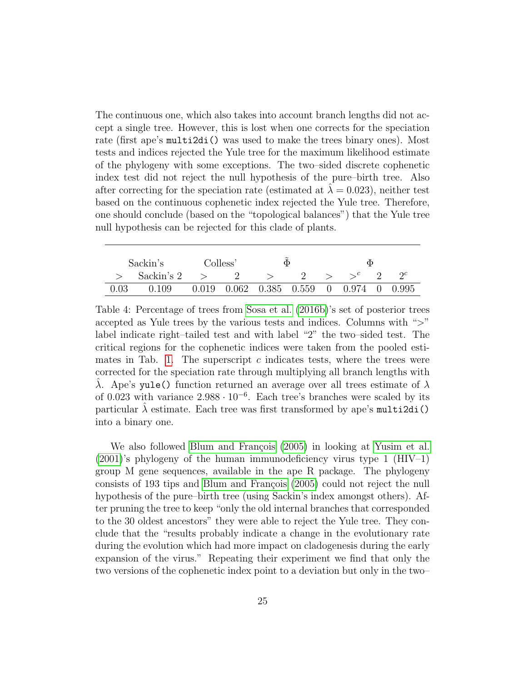The continuous one, which also takes into account branch lengths did not accept a single tree. However, this is lost when one corrects for the speciation rate (first ape's multi2di() was used to make the trees binary ones). Most tests and indices rejected the Yule tree for the maximum likelihood estimate of the phylogeny with some exceptions. The two–sided discrete cophenetic index test did not reject the null hypothesis of the pure–birth tree. Also after correcting for the speciation rate (estimated at  $\lambda = 0.023$ ), neither test based on the continuous cophenetic index rejected the Yule tree. Therefore, one should conclude (based on the "topological balances") that the Yule tree null hypothesis can be rejected for this clade of plants.

|      | Sackin's       | Colless' |  | Ф                                                   | Ф |            |
|------|----------------|----------|--|-----------------------------------------------------|---|------------|
|      | Sackin's 2 $>$ |          |  | $\sim$ 2 $\sim$                                     |   | $\gamma c$ |
| 0.03 | 0.109          |          |  | $0.019$ $0.062$ $0.385$ $0.559$ 0 $0.974$ 0 $0.995$ |   |            |

<span id="page-24-0"></span>Table 4: Percentage of trees from [Sosa et al.](#page-45-12) [\(2016b\)](#page-45-12)'s set of posterior trees accepted as Yule trees by the various tests and indices. Columns with ">" label indicate right–tailed test and with label "2" the two–sided test. The critical regions for the cophenetic indices were taken from the pooled esti-mates in Tab. [1.](#page-17-0) The superscript  $c$  indicates tests, where the trees were corrected for the speciation rate through multiplying all branch lengths with  $\lambda$ . Ape's yule() function returned an average over all trees estimate of  $\lambda$ of 0.023 with variance  $2.988 \cdot 10^{-6}$ . Each tree's branches were scaled by its particular  $\lambda$  estimate. Each tree was first transformed by ape's multi2di() into a binary one.

We also followed Blum and François [\(2005\)](#page-43-0) in looking at [Yusim et al.](#page-46-5)  $(2001)$ 's phylogeny of the human immunodeficiency virus type 1 (HIV–1) group M gene sequences, available in the ape R package. The phylogeny consists of 193 tips and Blum and François [\(2005\)](#page-43-0) could not reject the null hypothesis of the pure–birth tree (using Sackin's index amongst others). After pruning the tree to keep "only the old internal branches that corresponded to the 30 oldest ancestors" they were able to reject the Yule tree. They conclude that the "results probably indicate a change in the evolutionary rate during the evolution which had more impact on cladogenesis during the early expansion of the virus." Repeating their experiment we find that only the two versions of the cophenetic index point to a deviation but only in the two–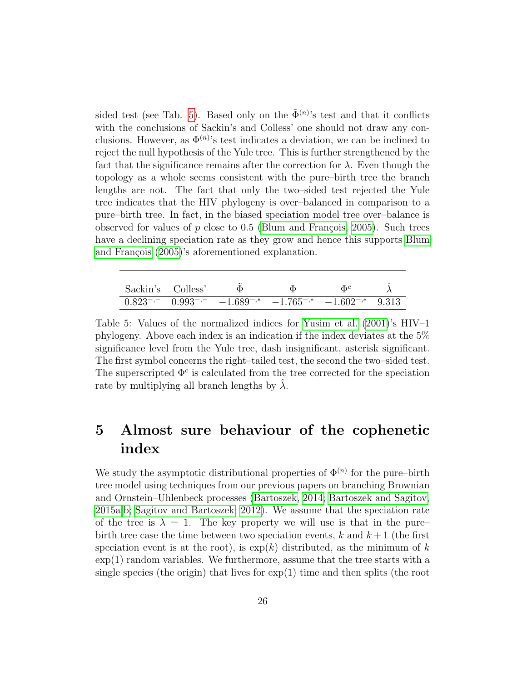sided test (see Tab. [5\)](#page-25-1). Based only on the  $\tilde{\Phi}^{(n)}$ 's test and that it conflicts with the conclusions of Sackin's and Colless' one should not draw any conclusions. However, as  $\Phi^{(n)}$ 's test indicates a deviation, we can be inclined to reject the null hypothesis of the Yule tree. This is further strengthened by the fact that the significance remains after the correction for  $\lambda$ . Even though the topology as a whole seems consistent with the pure–birth tree the branch lengths are not. The fact that only the two–sided test rejected the Yule tree indicates that the HIV phylogeny is over–balanced in comparison to a pure–birth tree. In fact, in the biased speciation model tree over–balance is observed for values of p close to 0.5 (Blum and François, 2005). Such trees have a declining speciation rate as they grow and hence this supports [Blum](#page-43-0) and François [\(2005\)](#page-43-0)'s aforementioned explanation.

<span id="page-25-1"></span>

| Sackin's Colless' |                                                                                  |  |  |
|-------------------|----------------------------------------------------------------------------------|--|--|
|                   | $0.823^{-,-}$ $0.993^{-,-}$ $-1.689^{-,*}$ $-1.765^{-,*}$ $-1.602^{-,*}$ $9.313$ |  |  |

Table 5: Values of the normalized indices for [Yusim et al.](#page-46-5)  $(2001)$ 's  $HIV-1$ phylogeny. Above each index is an indication if the index deviates at the 5% significance level from the Yule tree, dash insignificant, asterisk significant. The first symbol concerns the right–tailed test, the second the two–sided test. The superscripted  $\Phi^c$  is calculated from the tree corrected for the speciation rate by multiplying all branch lengths by  $\lambda$ .

## <span id="page-25-0"></span>5 Almost sure behaviour of the cophenetic index

We study the asymptotic distributional properties of  $\Phi^{(n)}$  for the pure–birth tree model using techniques from our previous papers on branching Brownian and Ornstein–Uhlenbeck processes [\(Bartoszek, 2014;](#page-43-5) [Bartoszek and Sagitov,](#page-43-6) [2015a](#page-43-6)[,b;](#page-43-1) [Sagitov and Bartoszek, 2012\)](#page-45-5). We assume that the speciation rate of the tree is  $\lambda = 1$ . The key property we will use is that in the pure– birth tree case the time between two speciation events, k and  $k+1$  (the first speciation event is at the root), is  $\exp(k)$  distributed, as the minimum of k  $\exp(1)$  random variables. We furthermore, assume that the tree starts with a single species (the origin) that lives for  $\exp(1)$  time and then splits (the root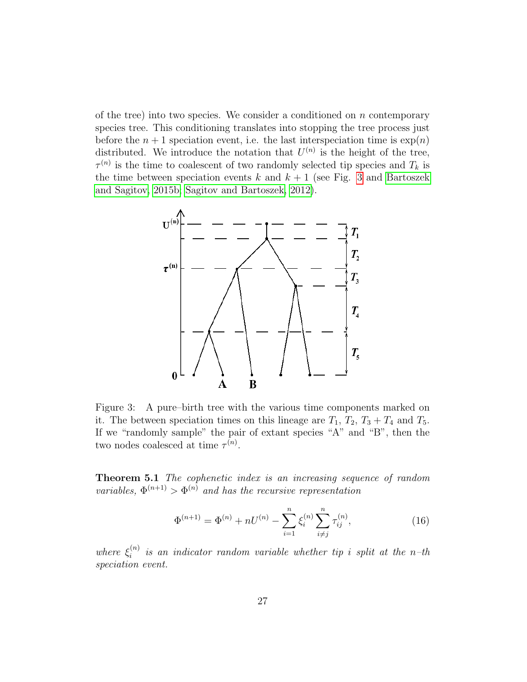of the tree) into two species. We consider a conditioned on  $n$  contemporary species tree. This conditioning translates into stopping the tree process just before the  $n + 1$  speciation event, i.e. the last interspeciation time is  $\exp(n)$ distributed. We introduce the notation that  $U^{(n)}$  is the height of the tree,  $\tau^{(n)}$  is the time to coalescent of two randomly selected tip species and  $T_k$  is the time between speciation events k and  $k + 1$  (see Fig. [3](#page-26-0) and [Bartoszek](#page-43-1) [and Sagitov, 2015b;](#page-43-1) [Sagitov and Bartoszek, 2012\)](#page-45-5).



<span id="page-26-0"></span>Figure 3: A pure–birth tree with the various time components marked on it. The between speciation times on this lineage are  $T_1$ ,  $T_2$ ,  $T_3 + T_4$  and  $T_5$ . If we "randomly sample" the pair of extant species "A" and "B", then the two nodes coalesced at time  $\tau^{(n)}$ .

Theorem 5.1 The cophenetic index is an increasing sequence of random variables,  $\Phi^{(n+1)} > \Phi^{(n)}$  and has the recursive representation

$$
\Phi^{(n+1)} = \Phi^{(n)} + nU^{(n)} - \sum_{i=1}^{n} \xi_i^{(n)} \sum_{i \neq j}^{n} \tau_{ij}^{(n)},
$$
\n(16)

where  $\xi_i^{(n)}$  $i<sup>(n)</sup>$  is an indicator random variable whether tip i split at the n-th speciation event.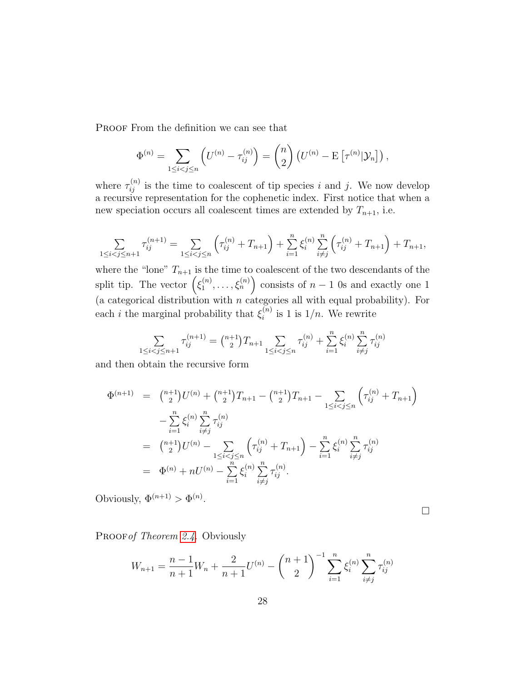PROOF From the definition we can see that

$$
\Phi^{(n)} = \sum_{1 \le i < j \le n} \left( U^{(n)} - \tau_{ij}^{(n)} \right) = {n \choose 2} \left( U^{(n)} - \mathrm{E} \left[ \tau^{(n)} | \mathcal{Y}_n \right] \right),
$$

where  $\tau_{ij}^{(n)}$  is the time to coalescent of tip species i and j. We now develop a recursive representation for the cophenetic index. First notice that when a new speciation occurs all coalescent times are extended by  $T_{n+1}$ , i.e.

$$
\sum_{1 \leq i < j \leq n+1} \tau_{ij}^{(n+1)} = \sum_{1 \leq i < j \leq n} \left( \tau_{ij}^{(n)} + T_{n+1} \right) + \sum_{i=1}^n \xi_i^{(n)} \sum_{i \neq j}^n \left( \tau_{ij}^{(n)} + T_{n+1} \right) + T_{n+1},
$$

where the "lone"  $T_{n+1}$  is the time to coalescent of the two descendants of the split tip. The vector  $(\xi_1^{(n)})$  $\binom{n}{1}, \ldots, \binom{n}{n}$  consists of  $n-1$  0s and exactly one 1 (a categorical distribution with  $n$  categories all with equal probability). For each *i* the marginal probability that  $\xi_i^{(n)}$  $i^{(n)}$  is 1 is  $1/n$ . We rewrite

$$
\sum_{1 \leq i < j \leq n+1} \tau_{ij}^{(n+1)} = \binom{n+1}{2} T_{n+1} \sum_{1 \leq i < j \leq n} \tau_{ij}^{(n)} + \sum_{i=1}^{n} \xi_i^{(n)} \sum_{i \neq j}^{n} \tau_{ij}^{(n)}
$$

and then obtain the recursive form

$$
\Phi^{(n+1)} = \binom{n+1}{2} U^{(n)} + \binom{n+1}{2} T_{n+1} - \binom{n+1}{2} T_{n+1} - \sum_{1 \le i < j \le n} \left( \tau_{ij}^{(n)} + T_{n+1} \right) \n- \sum_{i=1}^n \xi_i^{(n)} \sum_{i \ne j}^n \tau_{ij}^{(n)} \n= \binom{n+1}{2} U^{(n)} - \sum_{1 \le i < j \le n} \left( \tau_{ij}^{(n)} + T_{n+1} \right) - \sum_{i=1}^n \xi_i^{(n)} \sum_{i \ne j}^n \tau_{ij}^{(n)} \n= \Phi^{(n)} + nU^{(n)} - \sum_{i=1}^n \xi_i^{(n)} \sum_{i \ne j}^n \tau_{ij}^{(n)}.
$$

Obviously,  $\Phi^{(n+1)} > \Phi^{(n)}$ .

PROOF of Theorem [2.4.](#page-3-0) Obviously

$$
W_{n+1} = \frac{n-1}{n+1}W_n + \frac{2}{n+1}U^{(n)} - \binom{n+1}{2}^{-1} \sum_{i=1}^n \xi_i^{(n)} \sum_{i \neq j}^n \tau_{ij}^{(n)}
$$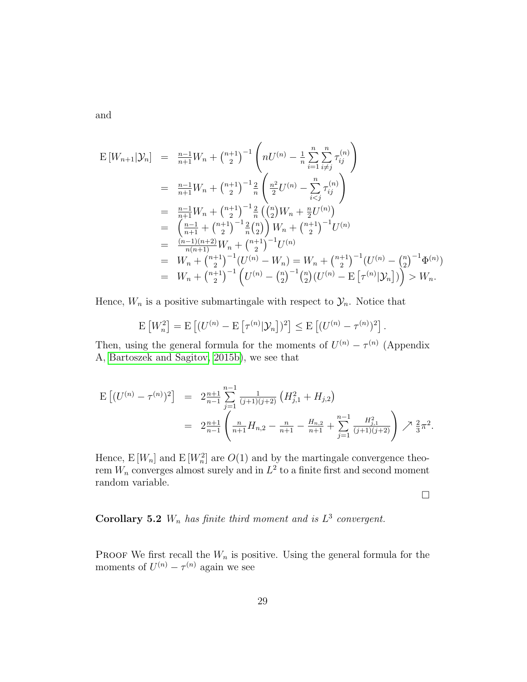and

$$
E[W_{n+1}|\mathcal{Y}_n] = \frac{n-1}{n+1}W_n + \binom{n+1}{2}^{-1} \left( nU^{(n)} - \frac{1}{n} \sum_{i=1}^n \sum_{i \neq j}^{n} \tau_{ij}^{(n)} \right)
$$
  
\n
$$
= \frac{n-1}{n+1}W_n + \binom{n+1}{2}^{-1} \frac{2}{n} \left( \frac{n^2}{2} U^{(n)} - \sum_{i < j}^{n} \tau_{ij}^{(n)} \right)
$$
  
\n
$$
= \frac{n-1}{n+1}W_n + \binom{n+1}{2}^{-1} \frac{2}{n} \left( \binom{n}{2} W_n + \frac{n}{2} U^{(n)} \right)
$$
  
\n
$$
= \left( \frac{n-1}{n+1} + \binom{n+1}{2}^{-1} \frac{2}{n} \binom{n}{2} W_n + \binom{n+1}{2}^{-1} U^{(n)}
$$
  
\n
$$
= \frac{(n-1)(n+2)}{n(n+1)} W_n + \binom{n+1}{2}^{-1} U^{(n)}
$$
  
\n
$$
= W_n + \binom{n+1}{2}^{-1} (U^{(n)} - W_n) = W_n + \binom{n+1}{2}^{-1} (U^{(n)} - \binom{n}{2}^{-1} \Phi^{(n)})
$$
  
\n
$$
= W_n + \binom{n+1}{2}^{-1} \left( U^{(n)} - \binom{n}{2}^{-1} \binom{n}{2} (U^{(n)} - \mathbf{E} \left[ \tau^{(n)} | \mathcal{Y}_n \right] \right) \right) > W_n.
$$

Hence,  $W_n$  is a positive submartingale with respect to  $\mathcal{Y}_n$ . Notice that

$$
\mathbb{E}\left[W_n^2\right] = \mathbb{E}\left[(U^{(n)} - \mathbb{E}\left[\tau^{(n)}|\mathcal{Y}_n\right])^2\right] \le \mathbb{E}\left[(U^{(n)} - \tau^{(n)})^2\right].
$$

Then, using the general formula for the moments of  $U^{(n)} - \tau^{(n)}$  (Appendix A, [Bartoszek and Sagitov, 2015b\)](#page-43-1), we see that

$$
\begin{split} \mathcal{E}\left[ (U^{(n)} - \tau^{(n)})^2 \right] &= 2 \frac{n+1}{n-1} \sum_{j=1}^{n-1} \frac{1}{(j+1)(j+2)} \left( H_{j,1}^2 + H_{j,2} \right) \\ &= 2 \frac{n+1}{n-1} \left( \frac{n}{n+1} H_{n,2} - \frac{n}{n+1} - \frac{H_{n,2}}{n+1} + \sum_{j=1}^{n-1} \frac{H_{j,1}^2}{(j+1)(j+2)} \right) \nearrow \frac{2}{3} \pi^2. \end{split}
$$

Hence,  $E[W_n]$  and  $E[W_n^2]$  are  $O(1)$  and by the martingale convergence theorem  $W_n$  converges almost surely and in  $L^2$  to a finite first and second moment random variable.

 $\Box$ 

**Corollary 5.2**  $W_n$  has finite third moment and is  $L^3$  convergent.

PROOF We first recall the  $W_n$  is positive. Using the general formula for the moments of  $U^{(n)} - \tau^{(n)}$  again we see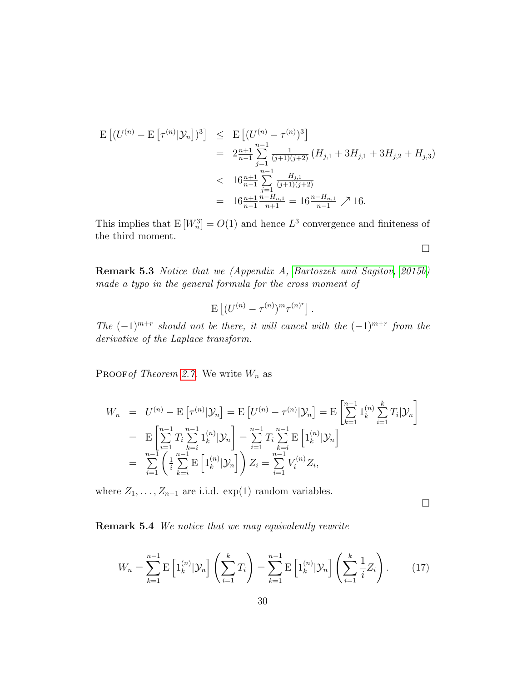$$
\begin{split} \mathcal{E}\left[ (U^{(n)} - \mathcal{E}\left[ \tau^{(n)} | \mathcal{Y}_n \right])^3 \right] &\leq \mathcal{E}\left[ (U^{(n)} - \tau^{(n)})^3 \right] \\ &= 2\frac{n+1}{n-1} \sum_{j=1}^{n-1} \frac{1}{(j+1)(j+2)} \left( H_{j,1} + 3H_{j,1} + 3H_{j,2} + H_{j,3} \right) \\ &< 16\frac{n+1}{n-1} \sum_{j=1}^{n-1} \frac{H_{j,1}}{(j+1)(j+2)} \\ &= 16\frac{n+1}{n-1} \frac{n-H_{n,1}}{n+1} = 16\frac{n-H_{n,1}}{n-1} \nearrow 16. \end{split}
$$

This implies that  $E[W_n^3] = O(1)$  and hence  $L^3$  convergence and finiteness of the third moment.

Remark 5.3 Notice that we (Appendix A, [Bartoszek and Sagitov, 2015b\)](#page-43-1) made a typo in the general formula for the cross moment of

$$
\mathbf{E}\left[ (U^{(n)} - \tau^{(n)})^m \tau^{(n)^r} \right].
$$

The  $(-1)^{m+r}$  should not be there, it will cancel with the  $(-1)^{m+r}$  from the derivative of the Laplace transform.

PROOF of Theorem [2.7.](#page-4-0) We write  $W_n$  as

$$
W_n = U^{(n)} - \mathbf{E} \left[ \tau^{(n)} | \mathcal{Y}_n \right] = \mathbf{E} \left[ U^{(n)} - \tau^{(n)} | \mathcal{Y}_n \right] = \mathbf{E} \left[ \sum_{k=1}^{n-1} 1_k^{(n)} \sum_{i=1}^k T_i | \mathcal{Y}_n \right]
$$
  
\n
$$
= \mathbf{E} \left[ \sum_{i=1}^{n-1} T_i \sum_{k=i}^{n-1} 1_k^{(n)} | \mathcal{Y}_n \right] = \sum_{i=1}^{n-1} T_i \sum_{k=i}^{n-1} \mathbf{E} \left[ 1_k^{(n)} | \mathcal{Y}_n \right]
$$
  
\n
$$
= \sum_{i=1}^{n-1} \left( \frac{1}{i} \sum_{k=i}^{n-1} \mathbf{E} \left[ 1_k^{(n)} | \mathcal{Y}_n \right] \right) Z_i = \sum_{i=1}^{n-1} V_i^{(n)} Z_i,
$$

where  $Z_1, \ldots, Z_{n-1}$  are i.i.d. exp(1) random variables.

 $\Box$ 

 $\Box$ 

Remark 5.4 We notice that we may equivalently rewrite

$$
W_n = \sum_{k=1}^{n-1} \mathbb{E}\left[1_k^{(n)}|\mathcal{Y}_n\right] \left(\sum_{i=1}^k T_i\right) = \sum_{k=1}^{n-1} \mathbb{E}\left[1_k^{(n)}|\mathcal{Y}_n\right] \left(\sum_{i=1}^k \frac{1}{i} Z_i\right). \tag{17}
$$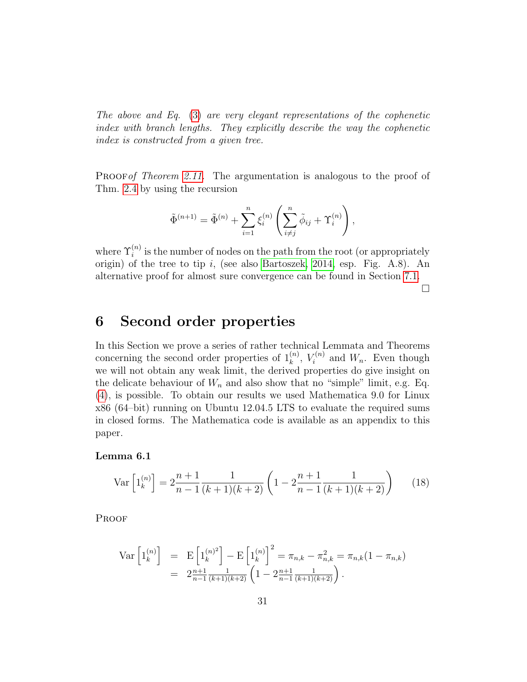The above and Eq. [\(3\)](#page-4-2) are very elegant representations of the cophenetic index with branch lengths. They explicitly describe the way the cophenetic index is constructed from a given tree.

PROOF of Theorem [2.11.](#page-5-1) The argumentation is analogous to the proof of Thm. [2.4](#page-3-0) by using the recursion

$$
\tilde{\Phi}^{(n+1)} = \tilde{\Phi}^{(n)} + \sum_{i=1}^{n} \xi_i^{(n)} \left( \sum_{i \neq j}^{n} \tilde{\phi}_{ij} + \Upsilon_i^{(n)} \right),
$$

where  $\Upsilon_i^{(n)}$  is the number of nodes on the path from the root (or appropriately origin) of the tree to tip  $i$ , (see also [Bartoszek, 2014,](#page-43-5) esp. Fig. A.8). An alternative proof for almost sure convergence can be found in Section [7.1.](#page-39-2)

 $\Box$ 

## <span id="page-30-0"></span>6 Second order properties

In this Section we prove a series of rather technical Lemmata and Theorems concerning the second order properties of  $1_k^{(n)}$ ,  $V_i^{(n)}$  $\zeta_i^{(n)}$  and  $W_n$ . Even though we will not obtain any weak limit, the derived properties do give insight on the delicate behaviour of  $W_n$  and also show that no "simple" limit, e.g. Eq. [\(4\)](#page-4-3), is possible. To obtain our results we used Mathematica 9.0 for Linux x86 (64–bit) running on Ubuntu 12.04.5 LTS to evaluate the required sums in closed forms. The Mathematica code is available as an appendix to this paper.

#### Lemma 6.1

$$
\text{Var}\left[1_k^{(n)}\right] = 2\frac{n+1}{n-1}\frac{1}{(k+1)(k+2)}\left(1 - 2\frac{n+1}{n-1}\frac{1}{(k+1)(k+2)}\right) \tag{18}
$$

**PROOF** 

$$
\begin{array}{rcl} \text{Var} \left[ 1_k^{(n)} \right] & = & \text{E} \left[ 1_k^{(n)^2} \right] - \text{E} \left[ 1_k^{(n)} \right]^2 = \pi_{n,k} - \pi_{n,k}^2 = \pi_{n,k} (1 - \pi_{n,k}) \\ & = & 2 \frac{n+1}{n-1} \frac{1}{(k+1)(k+2)} \left( 1 - 2 \frac{n+1}{n-1} \frac{1}{(k+1)(k+2)} \right). \end{array}
$$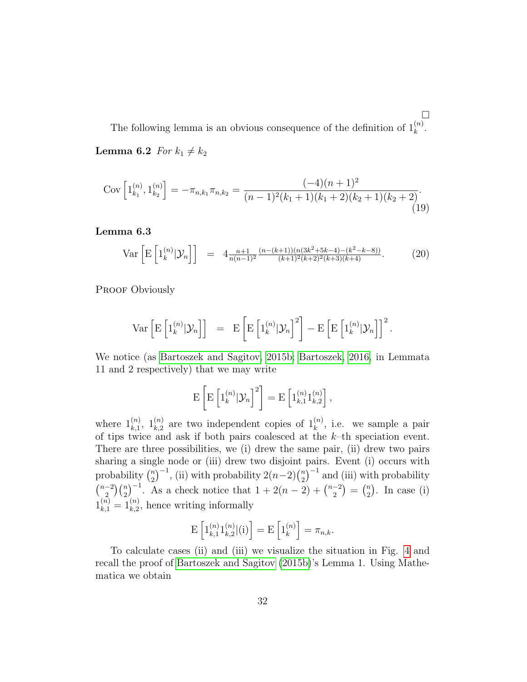$\Box$ The following lemma is an obvious consequence of the definition of  $1_k^{(n)}$ . **Lemma 6.2** For  $k_1 \neq k_2$ 

$$
Cov\left[1_{k_1}^{(n)}, 1_{k_2}^{(n)}\right] = -\pi_{n,k_1}\pi_{n,k_2} = \frac{(-4)(n+1)^2}{(n-1)^2(k_1+1)(k_1+2)(k_2+1)(k_2+2)}.
$$
\n(19)

<span id="page-31-0"></span>Lemma 6.3

$$
\text{Var}\left[\mathbf{E}\left[1_k^{(n)}|\mathcal{Y}_n\right]\right] = 4 \frac{n+1}{n(n-1)^2} \frac{(n-(k+1))(n(3k^2+5k-4)-(k^2-k-8))}{(k+1)^2(k+2)^2(k+3)(k+4)}.\tag{20}
$$

PROOF Obviously

$$
\operatorname{Var}\left[\mathrm{E}\left[1_k^{(n)}|\mathcal{Y}_n\right]\right] = \mathrm{E}\left[\mathrm{E}\left[1_k^{(n)}|\mathcal{Y}_n\right]^2\right] - \mathrm{E}\left[\mathrm{E}\left[1_k^{(n)}|\mathcal{Y}_n\right]\right]^2.
$$

We notice (as [Bartoszek and Sagitov, 2015b;](#page-43-1) [Bartoszek, 2016,](#page-43-7) in Lemmata 11 and 2 respectively) that we may write

$$
\mathrm{E}\left[\mathrm{E}\left[\mathrm{1}_{k}^{(n)}|\mathcal{Y}_{n}\right]^{2}\right]=\mathrm{E}\left[\mathrm{1}_{k,1}^{(n)}\mathrm{1}_{k,2}^{(n)}\right],
$$

where  $1_{k,1}^{(n)}$ ,  $1_{k,2}^{(n)}$  are two independent copies of  $1_k^{(n)}$ , i.e. we sample a pair of tips twice and ask if both pairs coalesced at the  $k$ -th speciation event. There are three possibilities, we (i) drew the same pair, (ii) drew two pairs sharing a single node or (iii) drew two disjoint pairs. Event (i) occurs with probability  $\binom{n}{2}$  $\binom{n}{2}^{-1}$ , (ii) with probability  $2(n-2)\binom{n}{2}$  $\binom{n}{2}^{-1}$  and (iii) with probability  $\binom{n-2}{2}$  $\binom{-2}{2}\binom{n}{2}^{-1}$ . As a check notice that  $1+2(n-2)+\binom{n-2}{2}$  $\binom{-2}{2} = \binom{n}{2}$  $n \choose 2$ . In case (i)  $1_{k,1}^{(n)} = 1_{k,2}^{(n)}$ , hence writing informally

$$
E\left[1_{k,1}^{(n)}1_{k,2}^{(n)}|(i)\right] = E\left[1_{k}^{(n)}\right] = \pi_{n,k}.
$$

To calculate cases (ii) and (iii) we visualize the situation in Fig. [4](#page-32-0) and recall the proof of [Bartoszek and Sagitov](#page-43-1) [\(2015b\)](#page-43-1)'s Lemma 1. Using Mathematica we obtain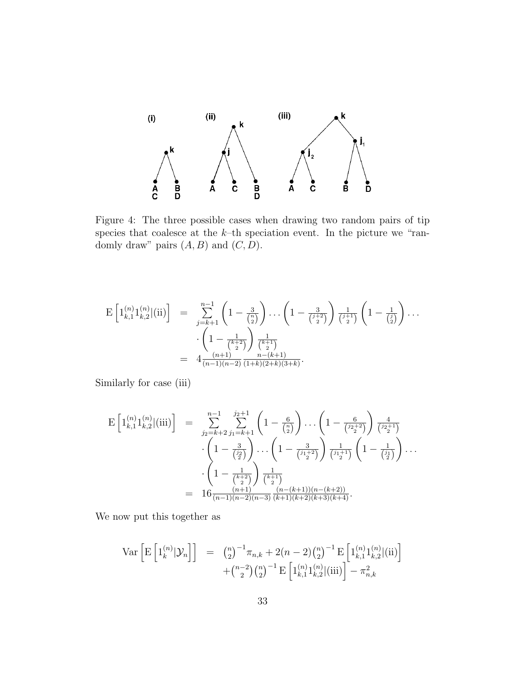

<span id="page-32-0"></span>Figure 4: The three possible cases when drawing two random pairs of tip species that coalesce at the  $k$ -th speciation event. In the picture we "randomly draw" pairs  $(A, B)$  and  $(C, D)$ .

$$
E\left[1_{k,1}^{(n)}1_{k,2}^{(n)}|(ii)\right] = \sum_{j=k+1}^{n-1} \left(1 - \frac{3}{\binom{n}{2}}\right) \dots \left(1 - \frac{3}{\binom{j+2}{2}}\right) \frac{1}{\binom{j+1}{2}} \left(1 - \frac{1}{\binom{j}{2}}\right) \dots \n\cdot \left(1 - \frac{1}{\binom{k+2}{2}}\right) \frac{1}{\binom{k+1}{2}} \n= 4 \frac{(n+1)}{(n-1)(n-2)} \frac{n-(k+1)}{(1+k)(2+k)(3+k)}.
$$

Similarly for case (iii)

$$
\mathbf{E}\left[1_{k,1}^{(n)}1_{k,2}^{(n)}|(\text{iii})\right] = \sum_{j_2=k+2}^{n-1} \sum_{j_1=k+1}^{j_2+1} \left(1 - \frac{6}{\binom{n}{2}}\right) \dots \left(1 - \frac{6}{\binom{j_2+2}{2}}\right) \frac{4}{\binom{j_2+1}{2}} \\
\cdot \left(1 - \frac{3}{\binom{j_2}{2}}\right) \dots \left(1 - \frac{3}{\binom{j_1+2}{2}}\right) \frac{1}{\binom{j_1+1}{2}} \left(1 - \frac{1}{\binom{j_1}{2}}\right) \dots \\
\cdot \left(1 - \frac{1}{\binom{k+2}{2}}\right) \frac{1}{\binom{k+1}{2}} \\
= 16 \frac{(n+1)}{(n-1)(n-2)(n-3)} \frac{(n-(k+1))(n-(k+2))}{(k+1)(k+2)(k+3)(k+4)}.
$$

We now put this together as

$$
\operatorname{Var}\left[\mathrm{E}\left[1_k^{(n)}|\mathcal{Y}_n\right]\right] = \binom{n}{2}^{-1}\pi_{n,k} + 2(n-2)\binom{n}{2}^{-1}\mathrm{E}\left[1_{k,1}^{(n)}1_{k,2}^{(n)}|(ii)\right] + \binom{n-2}{2}\binom{n}{2}^{-1}\mathrm{E}\left[1_{k,1}^{(n)}1_{k,2}^{(n)}|(iii)\right] - \pi_{n,k}^2
$$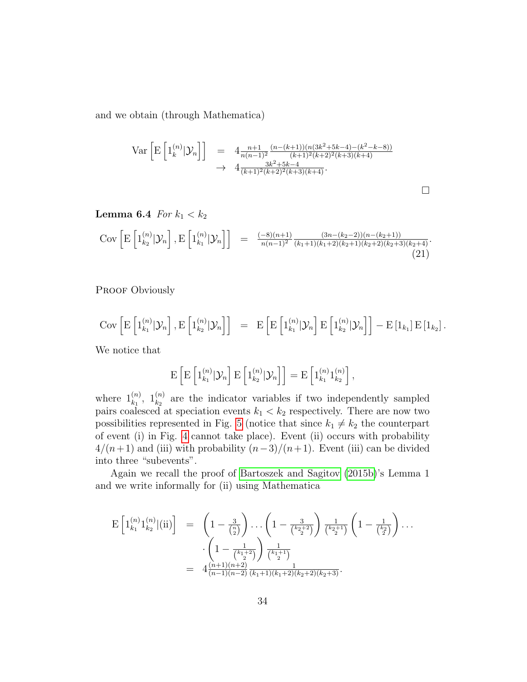and we obtain (through Mathematica)

$$
\operatorname{Var}\left[\mathrm{E}\left[1_k^{(n)}|\mathcal{Y}_n\right]\right] = 4\frac{n+1}{n(n-1)^2} \frac{(n-(k+1))(n(3k^2+5k-4)-(k^2-k-8))}{(k+1)^2(k+2)^2(k+3)(k+4)} + 4\frac{3k^2+5k-4}{(k+1)^2(k+2)^2(k+3)(k+4)}.
$$

 $\Box$ 

<span id="page-33-0"></span>Lemma 6.4 For  $k_1 < k_2$ 

$$
Cov\left[E\left[1_{k_2}^{(n)}|\mathcal{Y}_n\right], E\left[1_{k_1}^{(n)}|\mathcal{Y}_n\right]\right] = \frac{(-8)(n+1)}{n(n-1)^2} \frac{(3n-(k_2-2))(n-(k_2+1))}{(k_1+1)(k_1+2)(k_2+1)(k_2+2)(k_2+3)(k_2+4)}.
$$
\n(21)

PROOF Obviously

$$
Cov\left[E\left[1_{k_1}^{(n)}|\mathcal{Y}_n\right], E\left[1_{k_2}^{(n)}|\mathcal{Y}_n\right]\right] = E\left[E\left[1_{k_1}^{(n)}|\mathcal{Y}_n\right]E\left[1_{k_2}^{(n)}|\mathcal{Y}_n\right]\right] - E\left[1_{k_1}\right]E\left[1_{k_2}\right].
$$

We notice that

$$
\mathrm{E}\left[\mathrm{E}\left[\mathbb{1}_{k_1}^{(n)}|\mathcal{Y}_n\right]\mathrm{E}\left[\mathbb{1}_{k_2}^{(n)}|\mathcal{Y}_n\right]\right]=\mathrm{E}\left[\mathbb{1}_{k_1}^{(n)}\mathbb{1}_{k_2}^{(n)}\right],
$$

where  $1_{k_1}^{(n)}$ ,  $1_{k_2}^{(n)}$  are the indicator variables if two independently sampled pairs coalesced at speciation events  $k_1 < k_2$  respectively. There are now two possibilities represented in Fig. [5](#page-34-0) (notice that since  $k_1 \neq k_2$  the counterpart of event (i) in Fig. [4](#page-32-0) cannot take place). Event (ii) occurs with probability  $4/(n+1)$  and (iii) with probability  $(n-3)/(n+1)$ . Event (iii) can be divided into three "subevents".

Again we recall the proof of [Bartoszek and Sagitov](#page-43-1) [\(2015b\)](#page-43-1)'s Lemma 1 and we write informally for (ii) using Mathematica

$$
E\left[1_{k_1}^{(n)}1_{k_2}^{(n)}|(ii)\right] = \left(1 - \frac{3}{\binom{n}{2}}\right)\dots\left(1 - \frac{3}{\binom{k_2+2}{2}}\right)\frac{1}{\binom{k_2+1}{2}}\left(1 - \frac{1}{\binom{k_2}{2}}\right)\dots
$$

$$
\cdot\left(1 - \frac{1}{\binom{k_1+2}{2}}\right)\frac{1}{\binom{k_1+1}{2}}
$$

$$
= 4\frac{(n+1)(n+2)}{(n-1)(n-2)}\frac{1}{(k_1+1)(k_1+2)(k_2+2)(k_2+3)}.
$$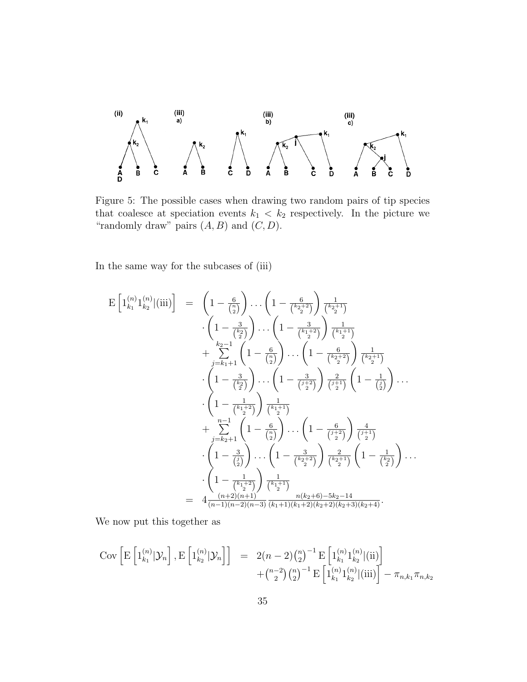

<span id="page-34-0"></span>Figure 5: The possible cases when drawing two random pairs of tip species that coalesce at speciation events  $k_1 < k_2$  respectively. In the picture we "randomly draw" pairs  $(A, B)$  and  $(C, D)$ .

In the same way for the subcases of (iii)

$$
E\left[1_{k_1}^{(n)}1_{k_2}^{(n)}\middle|\left(iii\right)\right] = \left(1 - \frac{6}{\binom{n}{2}}\right)\cdots\left(1 - \frac{6}{\binom{k_2+2}{2}}\right)\frac{1}{\binom{k_2+1}{2}}
$$

$$
\cdot\left(1 - \frac{3}{\binom{k_2}{2}}\right)\cdots\left(1 - \frac{3}{\binom{k_1+2}{2}}\right)\frac{1}{\binom{k_1+1}{2}}
$$

$$
+ \sum_{j=k_1+1}^{k_2-1}\left(1 - \frac{6}{\binom{n}{2}}\right)\cdots\left(1 - \frac{6}{\binom{k_2+2}{2}}\right)\frac{1}{\binom{k_2+1}{2}}
$$

$$
\cdot\left(1 - \frac{3}{\binom{k_2}{2}}\right)\cdots\left(1 - \frac{3}{\binom{j+2}{2}}\right)\frac{2}{\binom{j+1}{2}}\left(1 - \frac{1}{\binom{j}}\right)\cdots\left(1 - \frac{1}{\binom{k_1+2}{2}}\right)\frac{1}{\binom{k_1+1}{2}}
$$

$$
+ \sum_{j=k_2+1}^{n-1}\left(1 - \frac{6}{\binom{n}{2}}\right)\cdots\left(1 - \frac{6}{\binom{j+2}{2}}\right)\frac{4}{\binom{j+1}{2}}
$$

$$
\cdot\left(1 - \frac{3}{\binom{j}{2}}\right)\cdots\left(1 - \frac{3}{\binom{k_2+2}{2}}\right)\frac{2}{\binom{j+1}{2}}
$$

$$
\cdot\left(1 - \frac{3}{\binom{j}{2}}\right)\cdots\left(1 - \frac{3}{\binom{k_2+2}{2}}\right)\frac{2}{\binom{k_2+1}{2}}\left(1 - \frac{1}{\binom{k_2}{2}}\right)\cdots\left(1 - \frac{1}{\binom{k_1+2}{2}}\right)\frac{1}{\binom{k_1+1}{2}}
$$

$$
= 4\frac{(n+2)(n+1)}{(n-1)(n-2)(n-3)}\frac{n(k_1+1)(k_1+2)(k_2+2)(k_2+3)(k_2+4)}{(k_2+1)(k_1+2)(k_2+2)(k_2+3)(k_2+4)}.
$$

We now put this together as

$$
\text{Cov}\left[\mathrm{E}\left[1_{k_1}^{(n)}|\mathcal{Y}_n\right],\mathrm{E}\left[1_{k_2}^{(n)}|\mathcal{Y}_n\right]\right] = 2(n-2)\binom{n}{2}^{-1}\mathrm{E}\left[1_{k_1}^{(n)}1_{k_2}^{(n)}|(\mathrm{ii})\right] + \binom{n-2}{2}\binom{n}{2}^{-1}\mathrm{E}\left[1_{k_1}^{(n)}1_{k_2}^{(n)}|(\mathrm{iii})\right] - \pi_{n,k_1}\pi_{n,k_2}
$$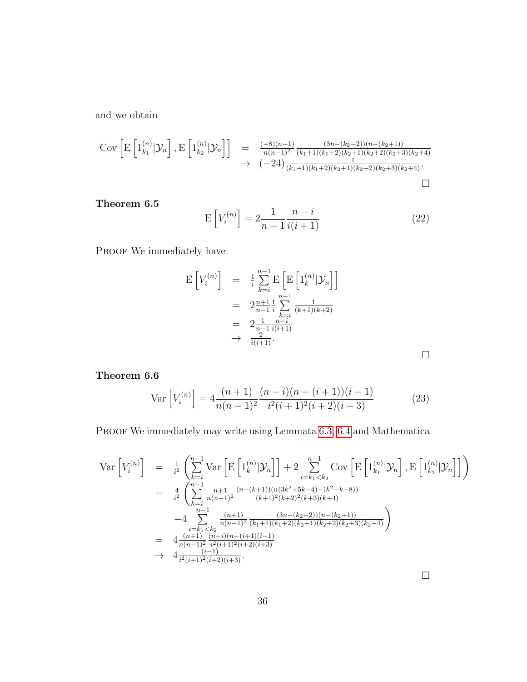and we obtain

$$
\begin{array}{rcl}\n\text{Cov}\left[\mathrm{E}\left[1_{k_1}^{(n)}|\mathcal{Y}_n\right],\mathrm{E}\left[1_{k_2}^{(n)}|\mathcal{Y}_n\right]\right] &=& \frac{(-8)(n+1)}{n(n-1)^2} \frac{(3n-(k_2-2))(n-(k_2+1))}{(k_1+1)(k_1+2)(k_2+1)(k_2+2)(k_2+3)(k_2+4)} \\
&\to & \left(-24\right) \frac{1}{(k_1+1)(k_1+2)(k_2+1)(k_2+2)(k_2+3)(k_2+4)}.\n\end{array}
$$

<span id="page-35-1"></span>Theorem 6.5

$$
E\left[V_i^{(n)}\right] = 2\frac{1}{n-1}\frac{n-i}{i(i+1)}
$$
\n<sup>(22)</sup>

PROOF We immediately have

$$
E\left[V_i^{(n)}\right] = \frac{1}{i} \sum_{k=i}^{n-1} E\left[E\left[1_k^{(n)}|\mathcal{Y}_n\right]\right]
$$
  
\n
$$
= 2\frac{n+1}{n-1} \frac{1}{i} \sum_{\substack{k=i \\ k \neq i}}^{n-1} \frac{1}{(k+1)(k+2)}
$$
  
\n
$$
= 2\frac{1}{n-1} \frac{n-i}{i(i+1)}
$$
  
\n
$$
\rightarrow \frac{2}{i(i+1)}.
$$

 $\Box$ 

<span id="page-35-0"></span>Theorem 6.6

$$
\text{Var}\left[V_i^{(n)}\right] = 4\frac{(n+1)}{n(n-1)^2} \frac{(n-i)(n-(i+1))(i-1)}{i^2(i+1)^2(i+2)(i+3)}\tag{23}
$$

PROOF We immediately may write using Lemmata [6.3,](#page-31-0) [6.4](#page-33-0) and Mathematica

$$
\begin{array}{rcl}\n\text{Var}\left[V_i^{(n)}\right] & = & \frac{1}{i^2} \left( \sum_{k=i}^{n-1} \text{Var}\left[\mathrm{E}\left[1_k^{(n)}|\mathcal{Y}_n\right]\right] + 2 \sum_{i=k_1 < k_2}^{n-1} \text{Cov}\left[\mathrm{E}\left[1_{k_1}^{(n)}|\mathcal{Y}_n\right], \mathrm{E}\left[1_{k_2}^{(n)}|\mathcal{Y}_n\right]\right] \right) \\
& = & \frac{4}{i^2} \left( \sum_{k=i}^{n-1} \frac{n+1}{n(n-1)^2} \frac{(n-(k+1))(n(3k^2+5k-4)-(k^2-k-8))}{(k+1)^2(k+2)^2(k+3)(k+4)} \right. \\
& \left. -4 \sum_{i=k_1 < k_2}^{n-1} \frac{(n+1)}{n(n-1)^2} \frac{(3n-(k_2-2))(n-(k_2+1))}{(k_1+1)(k_1+2)(k_2+1)(k_2+2)(k_2+3)(k_2+4)} \right) \\
& = & 4 \frac{(n+1)}{n(n-1)^2} \frac{(n-i)(n-(i+1)(i-1)}{i^2(i+1)^2(i+2)(i+3)} \\
& \rightarrow & 4 \frac{(i-1)}{i^2(i+1)^2(i+2)(i+3)}.\n\end{array}
$$

 $\Box$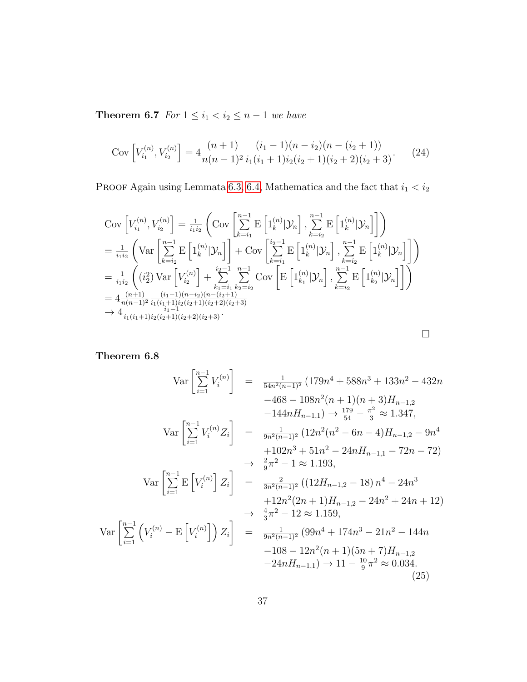**Theorem 6.7** For  $1 \leq i_1 < i_2 \leq n-1$  we have

Cov 
$$
\left[V_{i_1}^{(n)}, V_{i_2}^{(n)}\right] = 4\frac{(n+1)}{n(n-1)^2} \frac{(i_1 - 1)(n - i_2)(n - (i_2 + 1))}{i_1(i_1 + 1)i_2(i_2 + 1)(i_2 + 2)(i_2 + 3)}.
$$
 (24)

PROOF Again using Lemmata [6.3,](#page-31-0) [6.4,](#page-33-0) Mathematica and the fact that  $i_1 < i_2$ 

$$
\begin{split}\n&\text{Cov}\left[V_{i_1}^{(n)}, V_{i_2}^{(n)}\right] = \frac{1}{i_1 i_2} \left(\text{Cov}\left[\sum_{k=i_1}^{n-1} \text{E}\left[1_{k}^{(n)} |\mathcal{Y}_n\right], \sum_{k=i_2}^{n-1} \text{E}\left[1_{k}^{(n)} |\mathcal{Y}_n\right]\right]\right) \\
&= \frac{1}{i_1 i_2} \left(\text{Var}\left[\sum_{k=i_2}^{n-1} \text{E}\left[1_{k}^{(n)} |\mathcal{Y}_n\right]\right] + \text{Cov}\left[\sum_{k=i_1}^{i_2-1} \text{E}\left[1_{k}^{(n)} |\mathcal{Y}_n\right], \sum_{k=i_2}^{n-1} \text{E}\left[1_{k}^{(n)} |\mathcal{Y}_n\right]\right]\right) \\
&= \frac{1}{i_1 i_2} \left((i_2^2) \text{Var}\left[V_{i_2}^{(n)}\right] + \sum_{k=i_1}^{i_2-1} \sum_{k=2=i_2}^{n-1} \text{Cov}\left[\text{E}\left[1_{k_1}^{(n)} |\mathcal{Y}_n\right], \sum_{k=i_2}^{n-1} \text{E}\left[1_{k_2}^{(n)} |\mathcal{Y}_n\right]\right]\right) \\
&= 4 \frac{(n+1)}{n(n-1)^2} \frac{(i_1-1)(n-i_2)(n-(i_2+1))}{i_1-1} \\
&\quad + \frac{i_1-1}{i_1(i_1+1)i_2(i_2+1)(i_2+2)(i_2+3)} \\
&\quad + 4 \frac{i_1-1}{i_1(i_1+1)i_2(i_2+1)(i_2+2)(i_2+3)}.\n\end{split}
$$

<span id="page-36-0"></span>Theorem 6.8

$$
\operatorname{Var}\left[\sum_{i=1}^{n-1} V_i^{(n)}\right] = \frac{1}{54n^2(n-1)^2} \left(179n^4 + 588n^3 + 133n^2 - 432n -468 - 108n^2(n+1)(n+3)H_{n-1,2} -144nH_{n-1,1}\right) \to \frac{179}{54} - \frac{\pi^2}{3} \approx 1.347,
$$
\n
$$
\operatorname{Var}\left[\sum_{i=1}^{n-1} V_i^{(n)} Z_i\right] = \frac{1}{9n^2(n-1)^2} \left(12n^2(n^2 - 6n - 4)H_{n-1,2} - 9n^4 + 102n^3 + 51n^2 - 24nH_{n-1,1} - 72n - 72\right) \to \frac{2}{9}\pi^2 - 1 \approx 1.193,
$$
\n
$$
\operatorname{Var}\left[\sum_{i=1}^{n-1} \operatorname{E}\left[V_i^{(n)}\right] Z_i\right] = \frac{2}{3n^2(n-1)^2} \left( (12H_{n-1,2} - 18) n^4 - 24n^3 + 12n^2(2n+1)H_{n-1,2} - 24n^2 + 24n + 12 \right) \to \frac{4}{3}\pi^2 - 12 \approx 1.159,
$$
\n
$$
\operatorname{Var}\left[\sum_{i=1}^{n-1} \left(V_i^{(n)} - \operatorname{E}\left[V_i^{(n)}\right]\right) Z_i\right] = \frac{1}{9n^2(n-1)^2} \left(99n^4 + 174n^3 - 21n^2 - 144n - 108 - 12n^2(n+1)(5n+7)H_{n-1,2} - 24nH_{n-1,1}\right) \to 11 - \frac{10}{9}\pi^2 \approx 0.034.
$$
\n(25)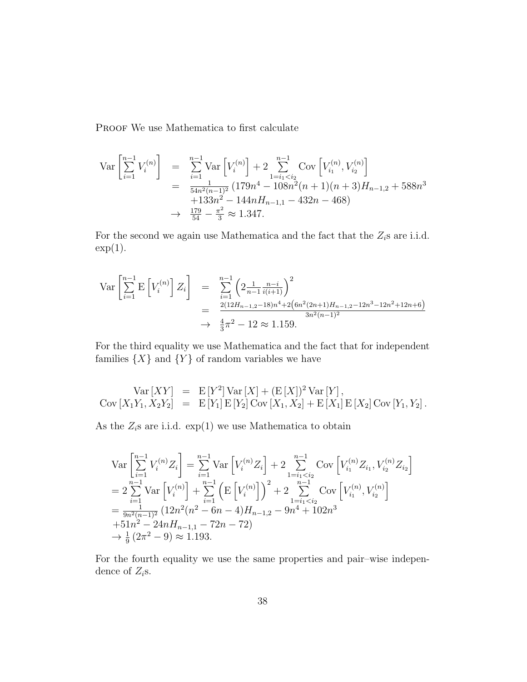PROOF We use Mathematica to first calculate

$$
\begin{array}{rcl}\n\text{Var}\left[\sum_{i=1}^{n-1} V_i^{(n)}\right] & = & \sum_{i=1}^{n-1} \text{Var}\left[V_i^{(n)}\right] + 2 \sum_{1=i_1
$$

For the second we again use Mathematica and the fact that the  $Z_i$ s are i.i.d.  $\exp(1)$ .

$$
\begin{array}{rcl}\n\text{Var}\left[\sum_{i=1}^{n-1} \mathbf{E}\left[V_i^{(n)}\right] Z_i\right] & = & \sum_{i=1}^{n-1} \left(2\frac{1}{n-1} \frac{n-i}{i(i+1)}\right)^2 \\
& = & \frac{2(12H_{n-1,2}-18)n^4 + 2\left(6n^2(2n+1)H_{n-1,2}-12n^3 - 12n^2 + 12n + 6\right)}{3n^2(n-1)^2} \\
& \to & \frac{4}{3}\pi^2 - 12 \approx 1.159.\n\end{array}
$$

For the third equality we use Mathematica and the fact that for independent families  $\{X\}$  and  $\{Y\}$  of random variables we have

$$
Var [XY] = E [Y2] Var [X] + (E [X])2 Var [Y],
$$
  
 
$$
Cov [X1Y1, X2Y2] = E [Y1] E [Y2] Cov [X1, X2] + E [X1] E [X2] Cov [Y1, Y2].
$$

As the  $Z_i$ s are i.i.d.  $\exp(1)$  we use Mathematica to obtain

$$
\begin{split}\n\text{Var}\left[\sum_{i=1}^{n-1} V_i^{(n)} Z_i\right] &= \sum_{i=1}^{n-1} \text{Var}\left[V_i^{(n)} Z_i\right] + 2 \sum_{1=i_1 < i_2}^{n-1} \text{Cov}\left[V_{i_1}^{(n)} Z_{i_1}, V_{i_2}^{(n)} Z_{i_2}\right] \\
&= 2 \sum_{i=1}^{n-1} \text{Var}\left[V_i^{(n)}\right] + \sum_{i=1}^{n-1} \left(\text{E}\left[V_i^{(n)}\right]\right)^2 + 2 \sum_{1=i_1 < i_2}^{n-1} \text{Cov}\left[V_{i_1}^{(n)}, V_{i_2}^{(n)}\right] \\
&= \frac{1}{9n^2(n-1)^2} \left(12n^2(n^2 - 6n - 4)H_{n-1,2} - 9n^4 + 102n^3 + 51n^2 - 24nH_{n-1,1} - 72n - 72\right) \\
&\to \frac{1}{9} \left(2\pi^2 - 9\right) \approx 1.193.\n\end{split}
$$

For the fourth equality we use the same properties and pair–wise independence of  $Z_i$ s.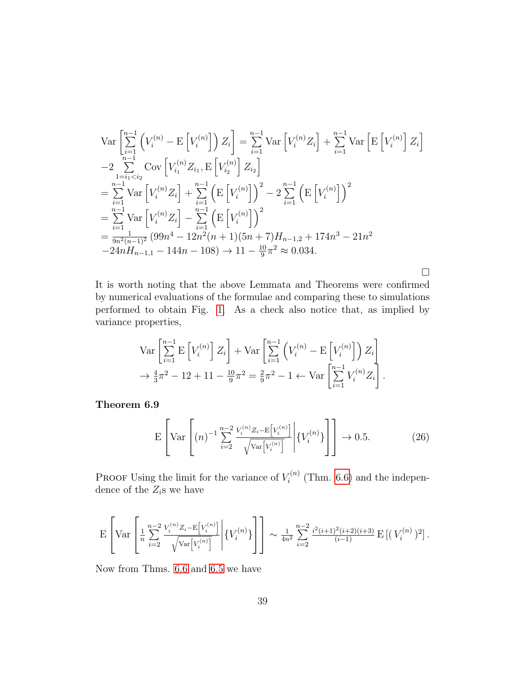$$
\operatorname{Var}\left[\sum_{i=1}^{n-1} \left(V_i^{(n)} - \operatorname{E}\left[V_i^{(n)}\right]\right) Z_i\right] = \sum_{i=1}^{n-1} \operatorname{Var}\left[V_i^{(n)} Z_i\right] + \sum_{i=1}^{n-1} \operatorname{Var}\left[\operatorname{E}\left[V_i^{(n)}\right] Z_i\right]
$$
  
\n
$$
-2 \sum_{\substack{i=1 \ i \leq i}}^{n-1} \operatorname{Cov}\left[V_{i1}^{(n)} Z_{i1}, \operatorname{E}\left[V_{i2}^{(n)}\right] Z_{i2}\right]
$$
  
\n
$$
= \sum_{i=1}^{n-1} \operatorname{Var}\left[V_i^{(n)} Z_i\right] + \sum_{i=1}^{n-1} \left(\operatorname{E}\left[V_i^{(n)}\right]\right)^2 - 2 \sum_{i=1}^{n-1} \left(\operatorname{E}\left[V_i^{(n)}\right]\right)^2
$$
  
\n
$$
= \sum_{i=1}^{n-1} \operatorname{Var}\left[V_i^{(n)} Z_i\right] - \sum_{i=1}^{n-1} \left(\operatorname{E}\left[V_i^{(n)}\right]\right)^2
$$
  
\n
$$
= \frac{\sum_{i=1}^{n-1} \operatorname{Var}\left[V_i^{(n)} Z_i\right] - \sum_{i=1}^{n-1} \left(\operatorname{E}\left[V_i^{(n)}\right]\right)^2}{\sum_{i=1}^{n-1} \operatorname{Var}\left[V_{i1}^{(n)} - \sum_{i=1}^{n-1} \left(V_i^{(n)}\right]\right)^2}
$$
  
\n
$$
= \frac{1}{9n^2(n-1)^2} \left(99n^4 - 12n^2(n+1)(5n+7)H_{n-1,2} + 174n^3 - 21n^2 - 24nH_{n-1,1} - 144n - 108\right) \to 11 - \frac{10}{9}\pi^2 \approx 0.034.
$$

 $\Box$ 

It is worth noting that the above Lemmata and Theorems were confirmed by numerical evaluations of the formulae and comparing these to simulations performed to obtain Fig. [1.](#page-5-0) As a check also notice that, as implied by variance properties,

$$
\operatorname{Var}\left[\sum_{i=1}^{n-1} \mathbf{E}\left[V_i^{(n)}\right] Z_i\right] + \operatorname{Var}\left[\sum_{i=1}^{n-1} \left(V_i^{(n)} - \mathbf{E}\left[V_i^{(n)}\right]\right) Z_i\right] \\
\to \frac{4}{3}\pi^2 - 12 + 11 - \frac{10}{9}\pi^2 = \frac{2}{9}\pi^2 - 1 \leftarrow \operatorname{Var}\left[\sum_{i=1}^{n-1} V_i^{(n)} Z_i\right].
$$

<span id="page-38-1"></span><span id="page-38-0"></span>Theorem 6.9

$$
E\left[Var\left[(n)^{-1}\sum_{i=2}^{n-2}\frac{V_i^{(n)}Z_i - E[V_i^{(n)}]}{\sqrt{Var[V_i^{(n)}]}}\middle| \{V_i^{(n)}\}\right]\right] \to 0.5.
$$
 (26)

**PROOF** Using the limit for the variance of  $V_i^{(n)}$  $\zeta_i^{(n)}$  (Thm. [6.6\)](#page-35-0) and the independence of the  $Z_i$ s we have

$$
\mathbf{E}\left[\text{Var}\left[\frac{1}{n}\sum_{i=2}^{n-2}\frac{V_i^{(n)}Z_i-\mathbf{E}\left[V_i^{(n)}\right]}{\sqrt{\text{Var}\left[V_i^{(n)}\right]}}\middle|\{V_i^{(n)}\}\right]\right]\sim\frac{1}{4n^2}\sum_{i=2}^{n-2}\frac{i^2(i+1)^2(i+2)(i+3)}{(i-1)}\,\mathbf{E}\left[\left(\right V_i^{(n)}\right)^2\right].
$$

Now from Thms. [6.6](#page-35-0) and [6.5](#page-35-1) we have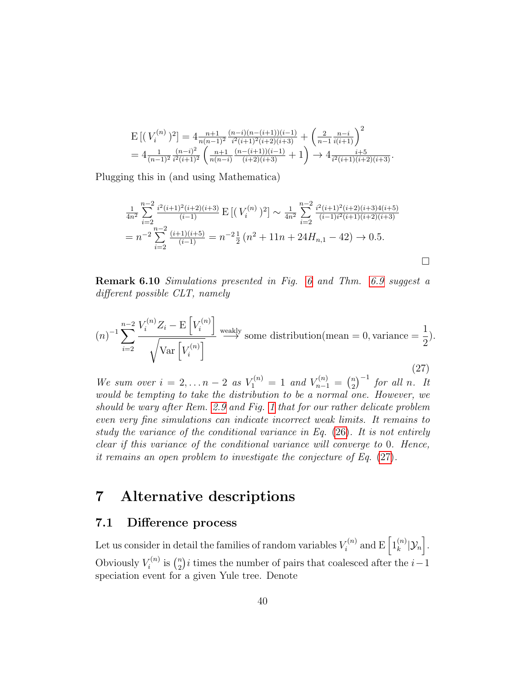$$
\begin{split} & \mathcal{E}\left[(\ V^{(n)}_{i})^2\right] = 4 \frac{n+1}{n(n-1)^2} \frac{(n-i)(n-(i+1))(i-1)}{i^2(i+1)^2(i+2)(i+3)} + \left(\frac{2}{n-1} \frac{n-i}{i(i+1)}\right)^2 \\ & = 4 \frac{1}{(n-1)^2} \frac{(n-i)^2}{i^2(i+1)^2} \left(\frac{n+1}{n(n-i)} \frac{(n-(i+1))(i-1)}{(i+2)(i+3)} + 1\right) \rightarrow 4 \frac{i+5}{i^2(i+1)(i+2)(i+3)}. \end{split}
$$

Plugging this in (and using Mathematica)

$$
\frac{1}{4n^2} \sum_{i=2}^{n-2} \frac{i^2(i+1)^2(i+2)(i+3)}{(i-1)} \mathbf{E} \left[ \left( V_i^{(n)} \right)^2 \right] \sim \frac{1}{4n^2} \sum_{i=2}^{n-2} \frac{i^2(i+1)^2(i+2)(i+3)(i+5)}{(i-1)i^2(i+1)(i+2)(i+3)} \n= n^{-2} \sum_{i=2}^{n-2} \frac{(i+1)(i+5)}{(i-1)} = n^{-2} \frac{1}{2} \left( n^2 + 11n + 24H_{n,1} - 42 \right) \to 0.5.
$$

<span id="page-39-0"></span>Remark 6.10 Simulations presented in Fig. [6](#page-40-0) and Thm. [6.9](#page-38-0) suggest a different possible CLT, namely

<span id="page-39-3"></span>
$$
(n)^{-1} \sum_{i=2}^{n-2} \frac{V_i^{(n)} Z_i - \mathcal{E}\left[V_i^{(n)}\right]}{\sqrt{\text{Var}\left[V_i^{(n)}\right]}} \xrightarrow{\text{weakly}} \text{some distribution}(\text{mean} = 0, \text{variance} = \frac{1}{2}).
$$
\n(27)

We sum over  $i = 2,... n - 2$  as  $V_1^{(n)} = 1$  and  $V_{n-1}^{(n)} = \binom{n}{2}$  $\binom{n}{2}^{-1}$  for all n. It would be tempting to take the distribution to be a normal one. However, we should be wary after Rem. [2.9](#page-4-4) and Fig. [1](#page-5-0) that for our rather delicate problem even very fine simulations can indicate incorrect weak limits. It remains to study the variance of the conditional variance in Eq. [\(26\)](#page-38-1). It is not entirely clear if this variance of the conditional variance will converge to 0. Hence, it remains an open problem to investigate the conjecture of Eq. [\(27\)](#page-39-3).

## <span id="page-39-1"></span>7 Alternative descriptions

### <span id="page-39-2"></span>7.1 Difference process

Let us consider in detail the families of random variables  $V_i^{(n)}$  $\mathbf{z}_i^{(n)}$  and  $\mathrm{E}\left[1_{k}^{(n)}\right]$  $_{k}^{(n)}[\mathcal{Y}_{n}].$ Obviously  $V_i^{(n)}$  $\binom{n}{i}$  is  $\binom{n}{2}$  $n_2$ <sup>n</sup>)*i* times the number of pairs that coalesced after the *i* - 1 speciation event for a given Yule tree. Denote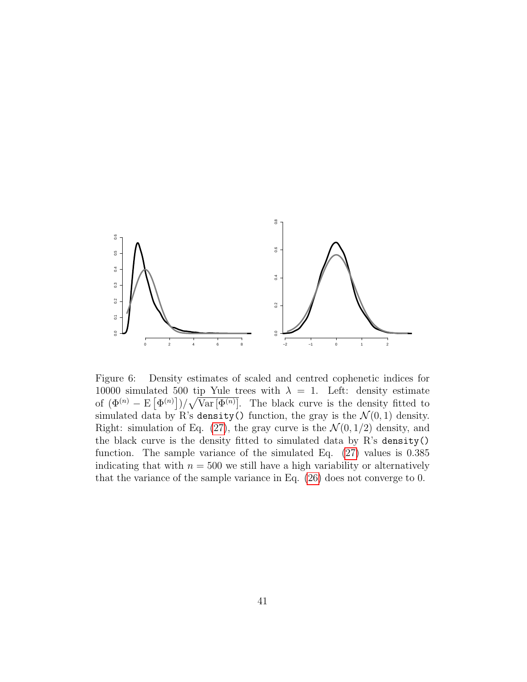

<span id="page-40-0"></span>Figure 6: Density estimates of scaled and centred cophenetic indices for 10000 simulated 500 tip Yule trees with  $\lambda = 1$ . Left: density estimate of  $(\Phi^{(n)} - \mathbb{E}[\Phi^{(n)}])/\sqrt{\text{Var}[\Phi^{(n)}]}$ . The black curve is the density fitted to simulated data by R's density() function, the gray is the  $\mathcal{N}(0, 1)$  density. Right: simulation of Eq. [\(27\)](#page-39-3), the gray curve is the  $\mathcal{N}(0, 1/2)$  density, and the black curve is the density fitted to simulated data by R's density() function. The sample variance of the simulated Eq. [\(27\)](#page-39-3) values is 0.385 indicating that with  $n = 500$  we still have a high variability or alternatively that the variance of the sample variance in Eq. [\(26\)](#page-38-1) does not converge to 0.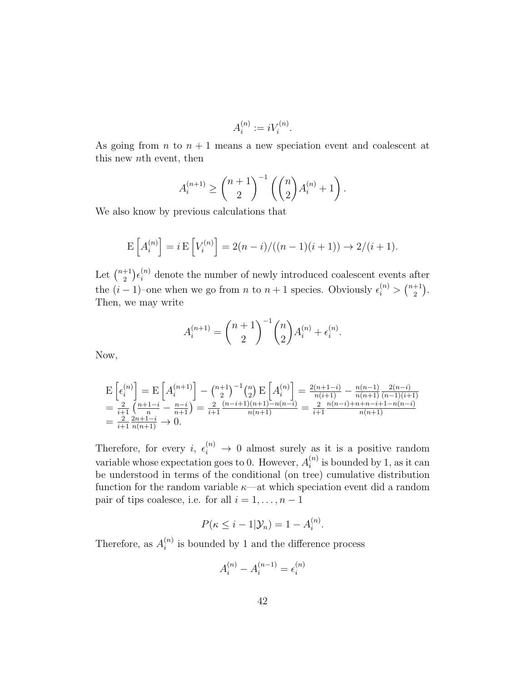$$
A_i^{(n)} := iV_i^{(n)}.
$$

As going from  $n$  to  $n + 1$  means a new speciation event and coalescent at this new nth event, then

$$
A_i^{(n+1)} \ge \binom{n+1}{2}^{-1} \left( \binom{n}{2} A_i^{(n)} + 1 \right).
$$

We also know by previous calculations that

$$
E\left[A_i^{(n)}\right] = i E\left[V_i^{(n)}\right] = 2(n-i) / ((n-1)(i+1)) \to 2/(i+1).
$$

Let  $\binom{n+1}{2}$  $\binom{+1}{2} \epsilon_i^{(n)}$  denote the number of newly introduced coalescent events after the  $(i-1)$ –one when we go from *n* to  $n+1$  species. Obviously  $\epsilon_i^{(n)} > \binom{n+1}{2}$  $_{2}^{+1}$ ). Then, we may write

$$
A_i^{(n+1)} = {n+1 \choose 2}^{-1} {n \choose 2} A_i^{(n)} + \epsilon_i^{(n)}.
$$

Now,

$$
\begin{split} &E\left[\epsilon_{i}^{(n)}\right] = E\left[A_{i}^{(n+1)}\right] - \binom{n+1}{2}E\left[A_{i}^{(n)}\right] = \frac{2(n+1-i)}{n(i+1)} - \frac{n(n-1)}{n(n+1)}\frac{2(n-i)}{(n-1)(i+1)}\\ &= \frac{2}{i+1}\left(\frac{n+1-i}{n} - \frac{n-i}{n+1}\right) = \frac{2}{i+1}\frac{(n-i+1)(n+1)-n(n-i)}{n(n+1)} = \frac{2}{i+1}\frac{n(n-i)+n+n-i+1-n(n-i)}{n(n+1)}\\ &= \frac{2}{i+1}\frac{2n+1-i}{n(n+1)} \to 0. \end{split}
$$

Therefore, for every  $i, \epsilon_i^{(n)} \to 0$  almost surely as it is a positive random variable whose expectation goes to 0. However,  $A_i^{(n)}$  $i^{(n)}_i$  is bounded by 1, as it can be understood in terms of the conditional (on tree) cumulative distribution function for the random variable  $\kappa$ —at which speciation event did a random pair of tips coalesce, i.e. for all  $i = 1, \ldots, n - 1$ 

$$
P(\kappa \leq i-1|\mathcal{Y}_n) = 1 - A_i^{(n)}.
$$

Therefore, as  $A_i^{(n)}$  $i^{(n)}$  is bounded by 1 and the difference process

$$
A_i^{(n)} - A_i^{(n-1)} = \epsilon_i^{(n)}
$$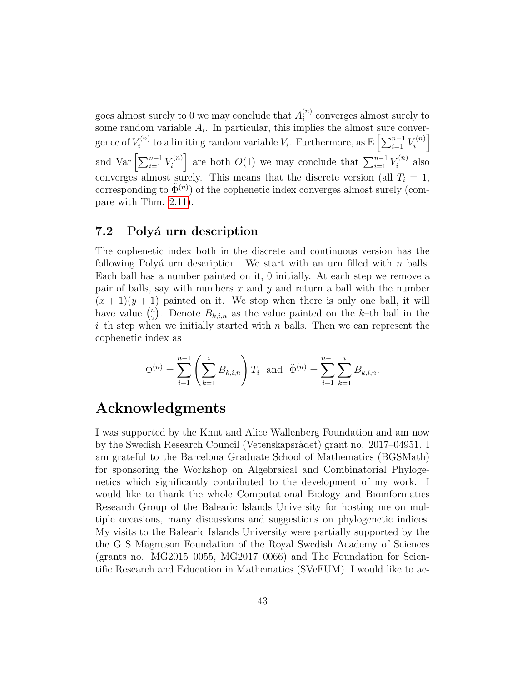goes almost surely to 0 we may conclude that  $A_i^{(n)}$  $i^{(n)}$  converges almost surely to some random variable  $A_i$ . In particular, this implies the almost sure convergence of  $V_i^{(n)}$  $V_i^{(n)}$  to a limiting random variable  $V_i$ . Furthermore, as  $E\left[\sum_{i=1}^{n-1} V_i^{(n)}\right]$  $\begin{bmatrix} n \end{bmatrix}$ and Var  $\left[\sum_{i=1}^{n-1} V_i^{(n)}\right]$  $\left[\begin{array}{c} \mathcal{L}^{(n)} \\ i \end{array}\right]$  are both  $O(1)$  we may conclude that  $\sum_{i=1}^{n-1} V_i^{(n)}$  $i^{(n)}$  also converges almost surely. This means that the discrete version (all  $T_i = 1$ , corresponding to  $\tilde{\Phi}^{(n)}$ ) of the cophenetic index converges almost surely (compare with Thm. [2.11\)](#page-5-1).

### 7.2 Polyá urn description

The cophenetic index both in the discrete and continuous version has the following Polyá urn description. We start with an urn filled with n balls. Each ball has a number painted on it, 0 initially. At each step we remove a pair of balls, say with numbers  $x$  and  $y$  and return a ball with the number  $(x + 1)(y + 1)$  painted on it. We stop when there is only one ball, it will have value  $\binom{n}{2}$ <sup>n</sup><sub>2</sub>). Denote  $B_{k,i,n}$  as the value painted on the k-th ball in the  $i$ –th step when we initially started with n balls. Then we can represent the cophenetic index as

$$
\Phi^{(n)} = \sum_{i=1}^{n-1} \left( \sum_{k=1}^i B_{k,i,n} \right) T_i \text{ and } \tilde{\Phi}^{(n)} = \sum_{i=1}^{n-1} \sum_{k=1}^i B_{k,i,n}.
$$

## Acknowledgments

I was supported by the Knut and Alice Wallenberg Foundation and am now by the Swedish Research Council (Vetenskapsrådet) grant no. 2017–04951. I am grateful to the Barcelona Graduate School of Mathematics (BGSMath) for sponsoring the Workshop on Algebraical and Combinatorial Phylogenetics which significantly contributed to the development of my work. I would like to thank the whole Computational Biology and Bioinformatics Research Group of the Balearic Islands University for hosting me on multiple occasions, many discussions and suggestions on phylogenetic indices. My visits to the Balearic Islands University were partially supported by the the G S Magnuson Foundation of the Royal Swedish Academy of Sciences (grants no. MG2015–0055, MG2017–0066) and The Foundation for Scientific Research and Education in Mathematics (SVeFUM). I would like to ac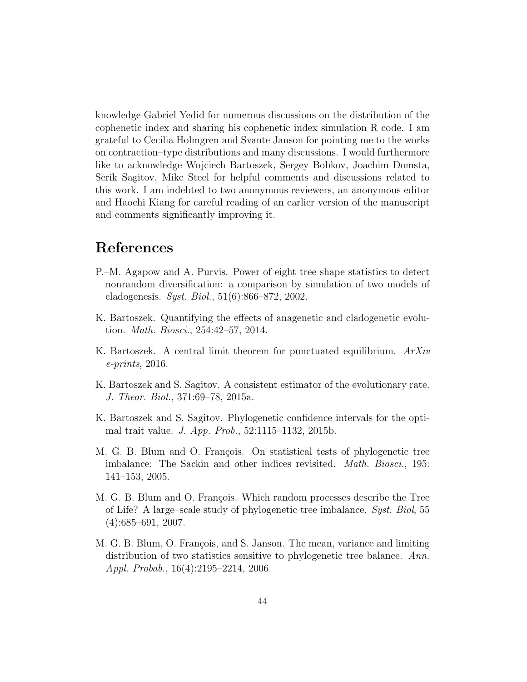knowledge Gabriel Yedid for numerous discussions on the distribution of the cophenetic index and sharing his cophenetic index simulation R code. I am grateful to Cecilia Holmgren and Svante Janson for pointing me to the works on contraction–type distributions and many discussions. I would furthermore like to acknowledge Wojciech Bartoszek, Sergey Bobkov, Joachim Domsta, Serik Sagitov, Mike Steel for helpful comments and discussions related to this work. I am indebted to two anonymous reviewers, an anonymous editor and Haochi Kiang for careful reading of an earlier version of the manuscript and comments significantly improving it.

## References

- <span id="page-43-2"></span>P.–M. Agapow and A. Purvis. Power of eight tree shape statistics to detect nonrandom diversification: a comparison by simulation of two models of cladogenesis. Syst. Biol., 51(6):866–872, 2002.
- <span id="page-43-5"></span>K. Bartoszek. Quantifying the effects of anagenetic and cladogenetic evolution. Math. Biosci., 254:42–57, 2014.
- <span id="page-43-7"></span>K. Bartoszek. A central limit theorem for punctuated equilibrium. ArXiv e-prints, 2016.
- <span id="page-43-6"></span>K. Bartoszek and S. Sagitov. A consistent estimator of the evolutionary rate. J. Theor. Biol., 371:69–78, 2015a.
- <span id="page-43-1"></span>K. Bartoszek and S. Sagitov. Phylogenetic confidence intervals for the optimal trait value. J. App. Prob., 52:1115–1132, 2015b.
- <span id="page-43-0"></span>M. G. B. Blum and O. François. On statistical tests of phylogenetic tree imbalance: The Sackin and other indices revisited. Math. Biosci., 195: 141–153, 2005.
- <span id="page-43-4"></span>M. G. B. Blum and O. François. Which random processes describe the Tree of Life? A large–scale study of phylogenetic tree imbalance. Syst. Biol, 55 (4):685–691, 2007.
- <span id="page-43-3"></span>M. G. B. Blum, O. François, and S. Janson. The mean, variance and limiting distribution of two statistics sensitive to phylogenetic tree balance. Ann. Appl. Probab., 16(4):2195–2214, 2006.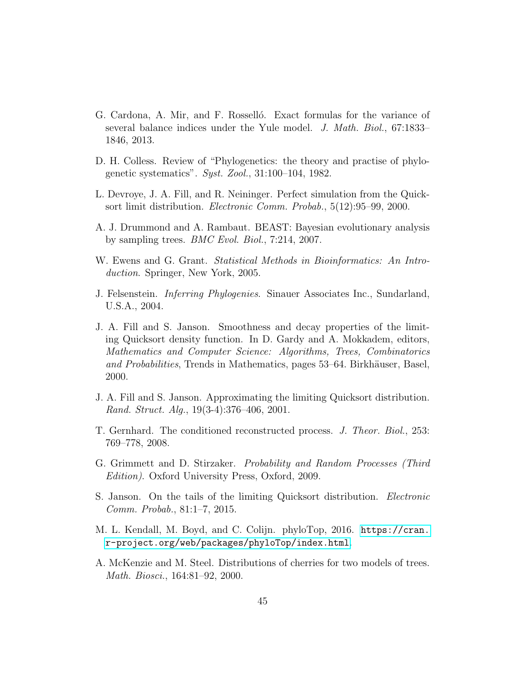- <span id="page-44-7"></span>G. Cardona, A. Mir, and F. Rosselló. Exact formulas for the variance of several balance indices under the Yule model. J. Math. Biol., 67:1833– 1846, 2013.
- <span id="page-44-2"></span>D. H. Colless. Review of "Phylogenetics: the theory and practise of phylogenetic systematics". Syst. Zool., 31:100–104, 1982.
- <span id="page-44-9"></span>L. Devroye, J. A. Fill, and R. Neininger. Perfect simulation from the Quicksort limit distribution. Electronic Comm. Probab., 5(12):95–99, 2000.
- <span id="page-44-12"></span>A. J. Drummond and A. Rambaut. BEAST: Bayesian evolutionary analysis by sampling trees. BMC Evol. Biol., 7:214, 2007.
- <span id="page-44-0"></span>W. Ewens and G. Grant. Statistical Methods in Bioinformatics: An Introduction. Springer, New York, 2005.
- <span id="page-44-1"></span>J. Felsenstein. Inferring Phylogenies. Sinauer Associates Inc., Sundarland, U.S.A., 2004.
- <span id="page-44-4"></span>J. A. Fill and S. Janson. Smoothness and decay properties of the limiting Quicksort density function. In D. Gardy and A. Mokkadem, editors, Mathematics and Computer Science: Algorithms, Trees, Combinatorics and Probabilities, Trends in Mathematics, pages 53–64. Birkhäuser, Basel, 2000.
- <span id="page-44-5"></span>J. A. Fill and S. Janson. Approximating the limiting Quicksort distribution. Rand. Struct. Alg., 19(3-4):376–406, 2001.
- <span id="page-44-10"></span>T. Gernhard. The conditioned reconstructed process. J. Theor. Biol., 253: 769–778, 2008.
- <span id="page-44-8"></span>G. Grimmett and D. Stirzaker. Probability and Random Processes (Third Edition). Oxford University Press, Oxford, 2009.
- <span id="page-44-6"></span>S. Janson. On the tails of the limiting Quicksort distribution. Electronic Comm. Probab., 81:1–7, 2015.
- <span id="page-44-11"></span>M. L. Kendall, M. Boyd, and C. Colijn. phyloTop, 2016. [https://cran.](https://cran.r-project.org/web/packages/phyloTop/index.html) [r-project.org/web/packages/phyloTop/index.html](https://cran.r-project.org/web/packages/phyloTop/index.html).
- <span id="page-44-3"></span>A. McKenzie and M. Steel. Distributions of cherries for two models of trees. Math. Biosci., 164:81–92, 2000.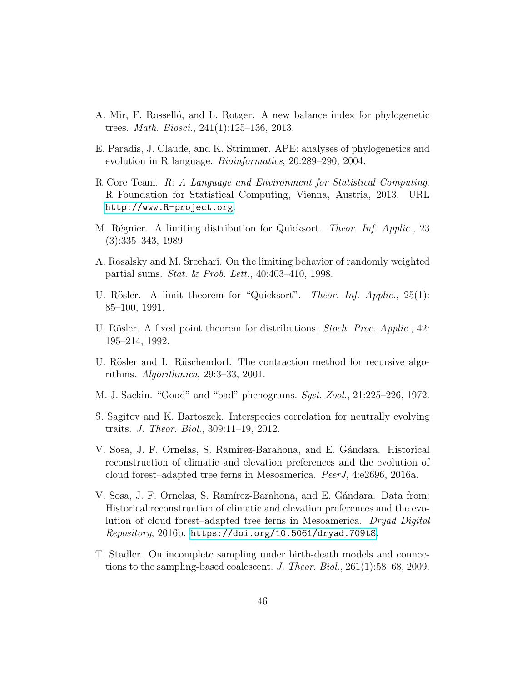- <span id="page-45-1"></span>A. Mir, F. Rosselló, and L. Rotger. A new balance index for phylogenetic trees. Math. Biosci., 241(1):125–136, 2013.
- <span id="page-45-10"></span>E. Paradis, J. Claude, and K. Strimmer. APE: analyses of phylogenetics and evolution in R language. *Bioinformatics*, 20:289–290, 2004.
- <span id="page-45-4"></span>R Core Team. R: A Language and Environment for Statistical Computing. R Foundation for Statistical Computing, Vienna, Austria, 2013. URL <http://www.R-project.org>.
- <span id="page-45-7"></span>M. Régnier. A limiting distribution for Quicksort. *Theor. Inf. Applic.*, 23 (3):335–343, 1989.
- <span id="page-45-3"></span>A. Rosalsky and M. Sreehari. On the limiting behavior of randomly weighted partial sums. Stat. & Prob. Lett., 40:403–410, 1998.
- <span id="page-45-6"></span>U. Rösler. A limit theorem for "Quicksort". Theor. Inf. Applic.,  $25(1)$ : 85–100, 1991.
- <span id="page-45-8"></span>U. Rösler. A fixed point theorem for distributions. *Stoch. Proc. Applic.*, 42: 195–214, 1992.
- <span id="page-45-9"></span>U. Rösler and L. Rüschendorf. The contraction method for recursive algorithms. Algorithmica, 29:3–33, 2001.
- <span id="page-45-0"></span>M. J. Sackin. "Good" and "bad" phenograms. Syst. Zool., 21:225–226, 1972.
- <span id="page-45-5"></span>S. Sagitov and K. Bartoszek. Interspecies correlation for neutrally evolving traits. J. Theor. Biol., 309:11–19, 2012.
- <span id="page-45-11"></span>V. Sosa, J. F. Ornelas, S. Ramírez-Barahona, and E. Gándara. Historical reconstruction of climatic and elevation preferences and the evolution of cloud forest–adapted tree ferns in Mesoamerica. PeerJ, 4:e2696, 2016a.
- <span id="page-45-12"></span>V. Sosa, J. F. Ornelas, S. Ramírez-Barahona, and E. Gándara. Data from: Historical reconstruction of climatic and elevation preferences and the evolution of cloud forest–adapted tree ferns in Mesoamerica. Dryad Digital Repository, 2016b. <https://doi.org/10.5061/dryad.709t8>.
- <span id="page-45-2"></span>T. Stadler. On incomplete sampling under birth-death models and connections to the sampling-based coalescent. J. Theor. Biol., 261(1):58–68, 2009.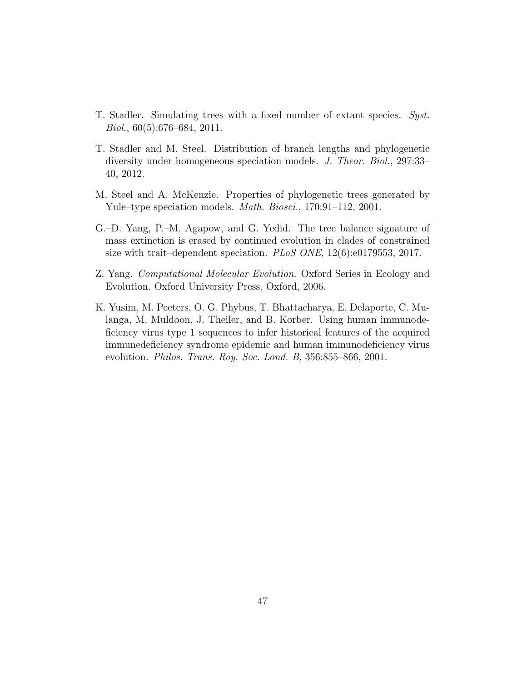- <span id="page-46-4"></span>T. Stadler. Simulating trees with a fixed number of extant species. Syst.  $Biol., 60(5):676–684, 2011.$
- <span id="page-46-3"></span>T. Stadler and M. Steel. Distribution of branch lengths and phylogenetic diversity under homogeneous speciation models. J. Theor. Biol., 297:33– 40, 2012.
- <span id="page-46-2"></span>M. Steel and A. McKenzie. Properties of phylogenetic trees generated by Yule–type speciation models. Math. Biosci., 170:91–112, 2001.
- <span id="page-46-1"></span>G.–D. Yang, P.–M. Agapow, and G. Yedid. The tree balance signature of mass extinction is erased by continued evolution in clades of constrained size with trait–dependent speciation. PLoS ONE,  $12(6)$ :e0179553, 2017.
- <span id="page-46-0"></span>Z. Yang. Computational Molecular Evolution. Oxford Series in Ecology and Evolution. Oxford University Press, Oxford, 2006.
- <span id="page-46-5"></span>K. Yusim, M. Peeters, O. G. Phybus, T. Bhattacharya, E. Delaporte, C. Mulanga, M. Muldoon, J. Theiler, and B. Korber. Using human immunodeficiency virus type 1 sequences to infer historical features of the acquired immunedeficiency syndrome epidemic and human immunodeficiency virus evolution. *Philos. Trans. Roy. Soc. Lond. B*, 356:855–866, 2001.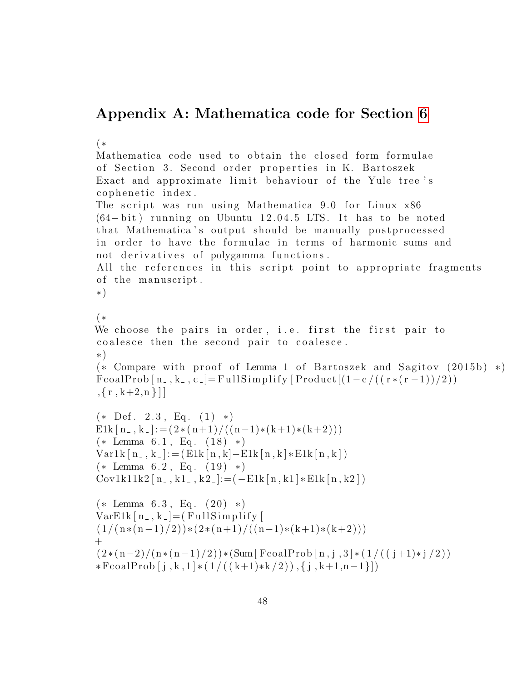## Appendix A: Mathematica code for Section [6](#page-30-0)

(∗ Mathematica code used to obtain the closed form formulae of Section 3. Second order properties in K. Bartoszek Exact and approximate limit behaviour of the Yule tree's cophenetic index. The script was run using Mathematica 9.0 for Linux x86  $(64 - bit)$  running on Ubuntu 12.04.5 LTS. It has to be noted that Mathematica's output should be manually postprocessed in order to have the formulae in terms of harmonic sums and not derivatives of polygamma functions. All the references in this script point to appropriate fragments of the manuscript. ∗) (∗ We choose the pairs in order, i.e. first the first pair to coalesce then the second pair to coalesce. ∗)  $(*$  Compare with proof of Lemma 1 of Bartoszek and Sagitov  $(2015b) *$  $FcoalProb [n_-, k_-, c_-] = FullSimplify [Product [(1-c/((r*(r-1))/2))]$  $, \{r, k+2, n\}$ ]  $(* \nDef. 2.3, Eq. (1) *)$  $E1k[n, k] := (2*(n+1)/((n-1)*(k+1)*(k+2)))$  $(* \text{ Lemma } 6.1, \text{ Eq. } (18) *)$  $Var1k[n_-, k_-] := (E1k[n, k] - E1k[n, k] * E1k[n, k])$  $(* \text{ Lemma } 6.2, \text{ Eq. } (19) *)$  $Cov1k11k2$  [ n \_ , k1 \_ , k2 \_]: = ( - E1k [ n , k1 ]  $*$  E1k [ n , k2 ] )  $(* \text{Lemma } 6.3, \text{ Eq. } (20) *)$  $VarE1k[n_-,k_-] = (FullSimplify)$  $(1/((n*(n-1)/2))*(2*(n+1)/((n-1)*(k+1)*(k+2)))$  $+$  $(2*(n-2)/(n*(n-1)/2))*(Sum[FeoalProb[n,j,3]*(1/((j+1)*j/2))$ \*FcoalProb  $[j, k, 1]$  \*  $(1/((k+1)$ \* $k/2)$ ,  $\{j, k+1, n-1\}]$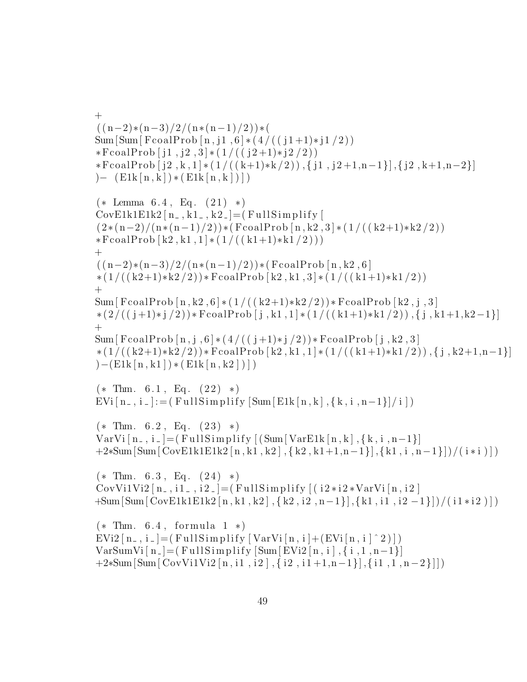$+$  $((n-2)*(n-3)/2/(n*(n-1)/2))*($  $Sum[Sum[Food[n,j1,6]*(4/((j1+1)*j1/2))]$  $*$ FcoalProb  $[j1, j2, 3] * (1/((j2+1)*j2/2))$  $*FcoalProb[j2, k, 1] * (1/((k+1)*k/2)), \{j1, j2+1, n-1\}, \{j2, k+1, n-2\}]$  $) (E1k[n, k]) * (E1k[n, k]))$  $(* \text{ Lemma } 6.4, \text{ Eq. } (21) *)$  $CovE1k1E1k2[n_-,k1_-,k2_-] = (FullSimplify [$  $(2*(n-2)/(n*(n-1)/2))*(FcoalProb[n,k2,3)*(1/((k2+1)*k2/2))$  $*FcoalProb [k2, k1, 1] * (1/((k1+1)*k1/2)))$  $^{+}$  $((n-2)*(n-3)/2/(n*(n-1)/2))*(FcoalProb[n,k2,6])$  $*(1/((k2+1)*k2/2))*$  FcoalProb [k2, k1, 3]  $*(1/((k1+1)*k1/2))$  $+$ Sum [ FcoalProb  $\lceil n, k2, 6 \rceil * (1/((k2+1)*k2/2))*$  FcoalProb  $\lceil k2, j, 3 \rceil$ ∗ ( 2 / ( ( j +1)∗ j /2 ) )∗ FcoalProb [ j , k1 , 1 ] ∗ ( 1 / ( ( k1+1)∗k1 / 2 ) ) , { j , k1+1,k2−1}]  $+$ Sum [ FcoalProb  $[n, j, 6] * (4/((j+1)*j/2)) *$  FcoalProb  $[j, k2, 3]$  $*(1/((k2+1)*k2/2))*FcoalProb[k2, k1, 1]*(1/((k1+1)*k1/2)), {j, k2+1, n-1}]$  $)-(E1k[n, k1]) * (E1k[n, k2]))$  $(*$  Thm. 6.1, Eq.  $(22)$  \*)  $EVi[n_-, i_-] := (FullSimplify [Sum [E1k[n, k], {k, i, n-1}]/i])$  $(*$  Thm. 6.2, Eq.  $(23)$  \*) VarVi  $[n_-, i_-] = (FullSimplify [(Sum[VarE1k[n,k], {k, i, n-1}])$  $+2*Sum[Sum[CovE1k1E1k2[n, k1, k2], {k2, k1+1, n-1}], {k1, i, n-1}])/(i * i)]$  $(*$  Thm. 6.3, Eq.  $(24)$  \*) CovVi1Vi2  $[n_-, i_1_-, i_2_-] = (FullSimplify [(i2*i2*VarVi[n, i2])$ +Sum[ Sum[ CovE1k1E1k2 [ n , k1 , k2 ] , { k2 , i2 , n−1}] ,{ k1 , i1 , i2 −1}] )/ ( i 1 ∗ i 2 ) ] )  $(*$  Thm.  $6.4$ , formula  $1 *$ )  $EVi2[n_-, i_-] = (FullSimplify [VarVi[n, i] + (EVi[n, i] ^ 2)])$  $VarSumVi[n_{-}] = (FullSimplify [Sum[EVi2[n, i], {i, 1, n-1}])$  $+2*Sum[Sum[CovVi1Vi2[n, i1, i2], {i2, i1+1, n-1}], {i1, 1, n-2}]$ ])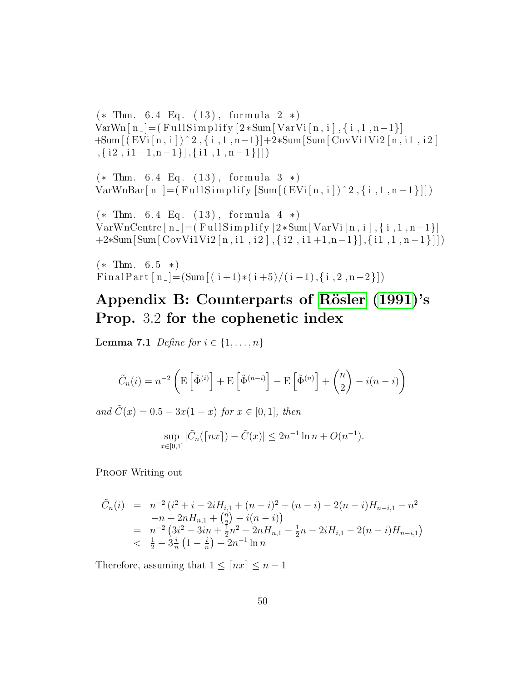$(*$  Thm. 6.4 Eq.  $(13)$ , formula 2  $*)$  $VarWn[n_{-}] = (FullSimplify [2*Sum[VarVi[n, i], {i, 1, n-1}])$ +Sum [ ( EVi [ n , i ] ) ˆ 2 , { i , 1 , n−1}]+2∗Sum[ Sum[ CovVi1Vi2 [ n , i1 , i 2 ]  $\{i1, i1+1, n-1\}, \{i1, 1, n-1\}\}\$ 

 $(*$  Thm. 6.4 Eq.  $(13)$ , formula  $3 *$ )  $VarWhBar[n_{-}] = (FullSimplify [Sum [(EVi[n, i])^2, {i, 1, n-1}]])$ 

 $(*$  Thm. 6.4 Eq.  $(13)$ , formula 4  $*)$ VarWnCentre  $[n_-] = (FullSimplify [2*Sum[VarVi[n, i], {i, 1, n-1}])$ +2∗Sum[ Sum[ CovVi1Vi2 [ n , i1 , i 2 ] , { i2 , i 1 +1,n−1}] ,{ i1 , 1 , n−1}]] )

 $(*$  Thm. 6.5  $*)$ FinalPart  $[n_{-}]=(Sum[(i+1)*(i+5)/(i-1), {i, 2, n-2}])$ 

## <span id="page-49-1"></span>Appendix B: Counterparts of Rösler [\(1991\)](#page-45-6)'s Prop. 3.2 for the cophenetic index

<span id="page-49-0"></span>**Lemma 7.1** Define for  $i \in \{1, \ldots, n\}$ 

$$
\tilde{C}_n(i) = n^{-2} \left( \mathbb{E} \left[ \tilde{\Phi}^{(i)} \right] + \mathbb{E} \left[ \tilde{\Phi}^{(n-i)} \right] - \mathbb{E} \left[ \tilde{\Phi}^{(n)} \right] + \binom{n}{2} - i(n-i) \right)
$$

and  $C(x) = 0.5 - 3x(1 - x)$  for  $x \in [0, 1]$ , then

$$
\sup_{x \in [0,1]} |\tilde{C}_n(\lceil nx \rceil) - \tilde{C}(x)| \le 2n^{-1} \ln n + O(n^{-1}).
$$

PROOF Writing out

$$
\tilde{C}_n(i) = n^{-2} (i^2 + i - 2iH_{i,1} + (n - i)^2 + (n - i) - 2(n - i)H_{n - i,1} - n^2 \n- n + 2nH_{n,1} + {n \choose 2} - i(n - i) \n= n^{-2} (3i^2 - 3in + \frac{1}{2}n^2 + 2nH_{n,1} - \frac{1}{2}n - 2iH_{i,1} - 2(n - i)H_{n - i,1}) \n< \frac{1}{2} - 3\frac{i}{n} (1 - \frac{i}{n}) + 2n^{-1} \ln n
$$

Therefore, assuming that  $1 \leq \lceil nx \rceil \leq n - 1$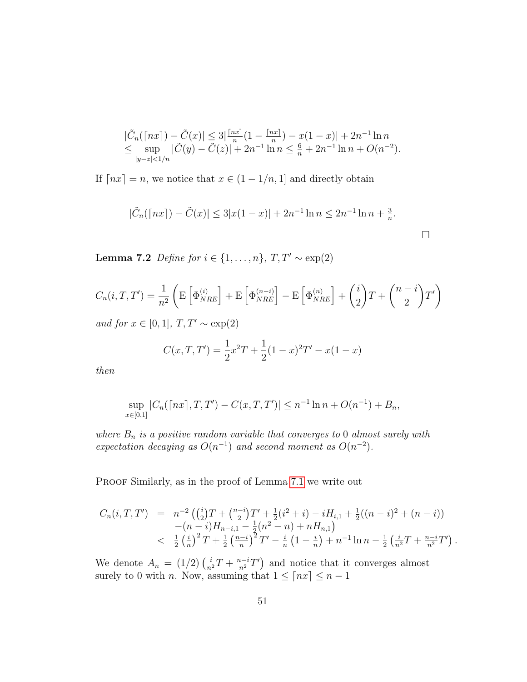$$
\begin{array}{l}\n|\tilde{C}_n(\lceil nx \rceil) - \tilde{C}(x)| \le 3 \left| \frac{\lceil nx \rceil}{n} (1 - \frac{\lceil nx \rceil}{n}) - x(1 - x) \right| + 2n^{-1} \ln n \\
\le \sup_{|y - z| < 1/n} |\tilde{C}(y) - \tilde{C}(z)| + 2n^{-1} \ln n \le \frac{6}{n} + 2n^{-1} \ln n + O(n^{-2}).\n\end{array}
$$

If  $\lceil nx \rceil = n$ , we notice that  $x \in (1 - 1/n, 1]$  and directly obtain

$$
|\tilde{C}_n(\lceil nx \rceil) - \tilde{C}(x)| \le 3|x(1-x)| + 2n^{-1}\ln n \le 2n^{-1}\ln n + \frac{3}{n}.
$$

<span id="page-50-0"></span>Lemma 7.2 Define for  $i \in \{1, \ldots, n\}$ ,  $T, T' \sim \exp(2)$ 

$$
C_n(i, T, T') = \frac{1}{n^2} \left( \mathbb{E} \left[ \Phi_{NRE}^{(i)} \right] + \mathbb{E} \left[ \Phi_{NRE}^{(n-i)} \right] - \mathbb{E} \left[ \Phi_{NRE}^{(n)} \right] + {i \choose 2} T + {n-i \choose 2} T' \right)
$$

and for  $x \in [0, 1]$ ,  $T, T' \sim \exp(2)$ 

$$
C(x, T, T') = \frac{1}{2}x^{2}T + \frac{1}{2}(1 - x)^{2}T' - x(1 - x)
$$

then

$$
\sup_{x \in [0,1]} |C_n(\lceil nx \rceil, T, T') - C(x, T, T')| \le n^{-1} \ln n + O(n^{-1}) + B_n,
$$

where  $B_n$  is a positive random variable that converges to 0 almost surely with expectation decaying as  $O(n^{-1})$  and second moment as  $O(n^{-2})$ .

PROOF Similarly, as in the proof of Lemma [7.1](#page-49-0) we write out

$$
C_n(i, T, T') = n^{-2} \left( {i \choose 2} T + {n-i \choose 2} T' + \frac{1}{2} (i^2 + i) - i H_{i,1} + \frac{1}{2} ((n-i)^2 + (n-i)) - (n-i) H_{n-i,1} - \frac{1}{2} (n^2 - n) + n H_{n,1} \right)
$$
  

$$
< \frac{1}{2} \left( \frac{i}{n} \right)^2 T + \frac{1}{2} \left( \frac{n-i}{n} \right)^2 T' - \frac{i}{n} \left( 1 - \frac{i}{n} \right) + n^{-1} \ln n - \frac{1}{2} \left( \frac{i}{n^2} T + \frac{n-i}{n^2} T' \right).
$$

We denote  $A_n = (1/2) \left( \frac{i}{n^2} T + \frac{n-i}{n^2} T' \right)$  and notice that it converges almost surely to 0 with *n*. Now, assuming that  $1 \leq \lceil nx \rceil \leq n - 1$